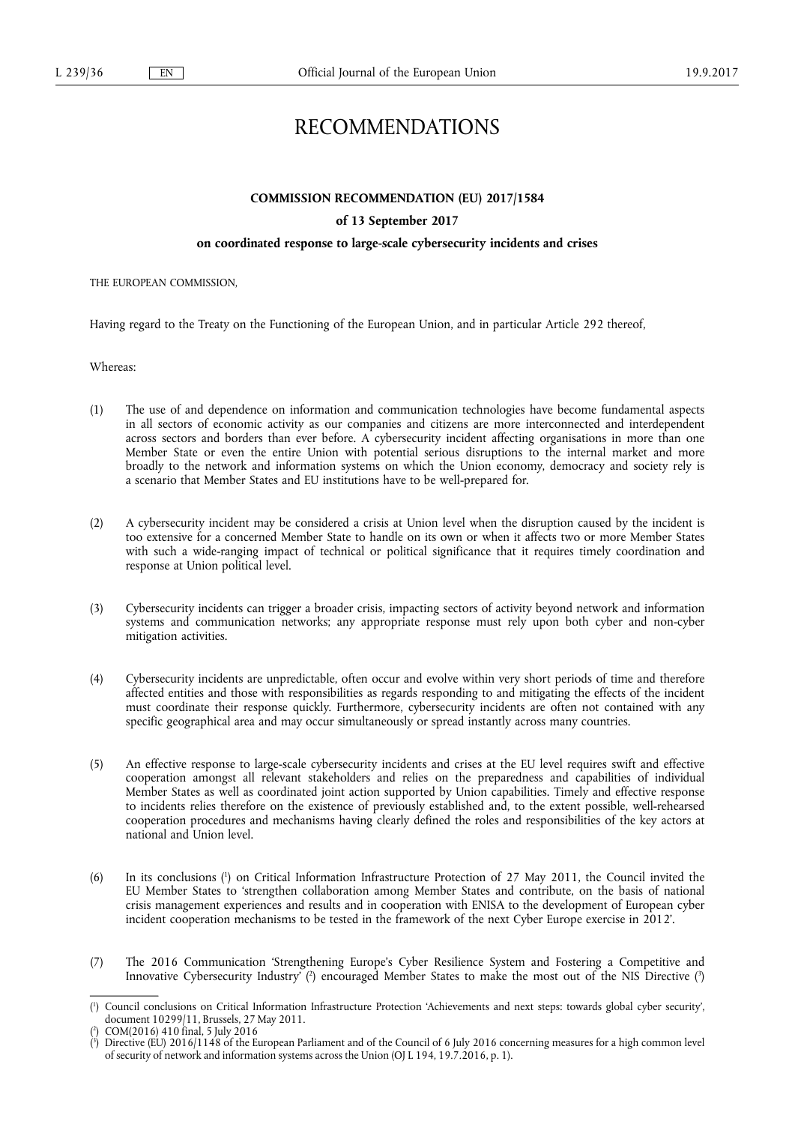# RECOMMENDATIONS

# **COMMISSION RECOMMENDATION (EU) 2017/1584**

# **of 13 September 2017**

# **on coordinated response to large-scale cybersecurity incidents and crises**

THE EUROPEAN COMMISSION,

Having regard to the Treaty on the Functioning of the European Union, and in particular Article 292 thereof,

Whereas:

- (1) The use of and dependence on information and communication technologies have become fundamental aspects in all sectors of economic activity as our companies and citizens are more interconnected and interdependent across sectors and borders than ever before. A cybersecurity incident affecting organisations in more than one Member State or even the entire Union with potential serious disruptions to the internal market and more broadly to the network and information systems on which the Union economy, democracy and society rely is a scenario that Member States and EU institutions have to be well-prepared for.
- (2) A cybersecurity incident may be considered a crisis at Union level when the disruption caused by the incident is too extensive for a concerned Member State to handle on its own or when it affects two or more Member States with such a wide-ranging impact of technical or political significance that it requires timely coordination and response at Union political level.
- (3) Cybersecurity incidents can trigger a broader crisis, impacting sectors of activity beyond network and information systems and communication networks; any appropriate response must rely upon both cyber and non-cyber mitigation activities.
- (4) Cybersecurity incidents are unpredictable, often occur and evolve within very short periods of time and therefore affected entities and those with responsibilities as regards responding to and mitigating the effects of the incident must coordinate their response quickly. Furthermore, cybersecurity incidents are often not contained with any specific geographical area and may occur simultaneously or spread instantly across many countries.
- (5) An effective response to large-scale cybersecurity incidents and crises at the EU level requires swift and effective cooperation amongst all relevant stakeholders and relies on the preparedness and capabilities of individual Member States as well as coordinated joint action supported by Union capabilities. Timely and effective response to incidents relies therefore on the existence of previously established and, to the extent possible, well-rehearsed cooperation procedures and mechanisms having clearly defined the roles and responsibilities of the key actors at national and Union level.
- (6) In its conclusions ( 1 ) on Critical Information Infrastructure Protection of 27 May 2011, the Council invited the EU Member States to 'strengthen collaboration among Member States and contribute, on the basis of national crisis management experiences and results and in cooperation with ENISA to the development of European cyber incident cooperation mechanisms to be tested in the framework of the next Cyber Europe exercise in 2012'.
- (7) The 2016 Communication 'Strengthening Europe's Cyber Resilience System and Fostering a Competitive and Innovative Cybersecurity Industry' (?) encouraged Member States to make the most out of the NIS Directive (3)

<sup>(</sup> 1 ) Council conclusions on Critical Information Infrastructure Protection 'Achievements and next steps: towards global cyber security', document 10299/11, Brussels, 27 May 2011.

<sup>(</sup> 2 ) COM(2016) 410 final, 5 July 2016

<sup>(</sup> 3 ) Directive (EU) 2016/1148 of the European Parliament and of the Council of 6 July 2016 concerning measures for a high common level of security of network and information systems across the Union (OJ L 194, 19.7.2016, p. 1).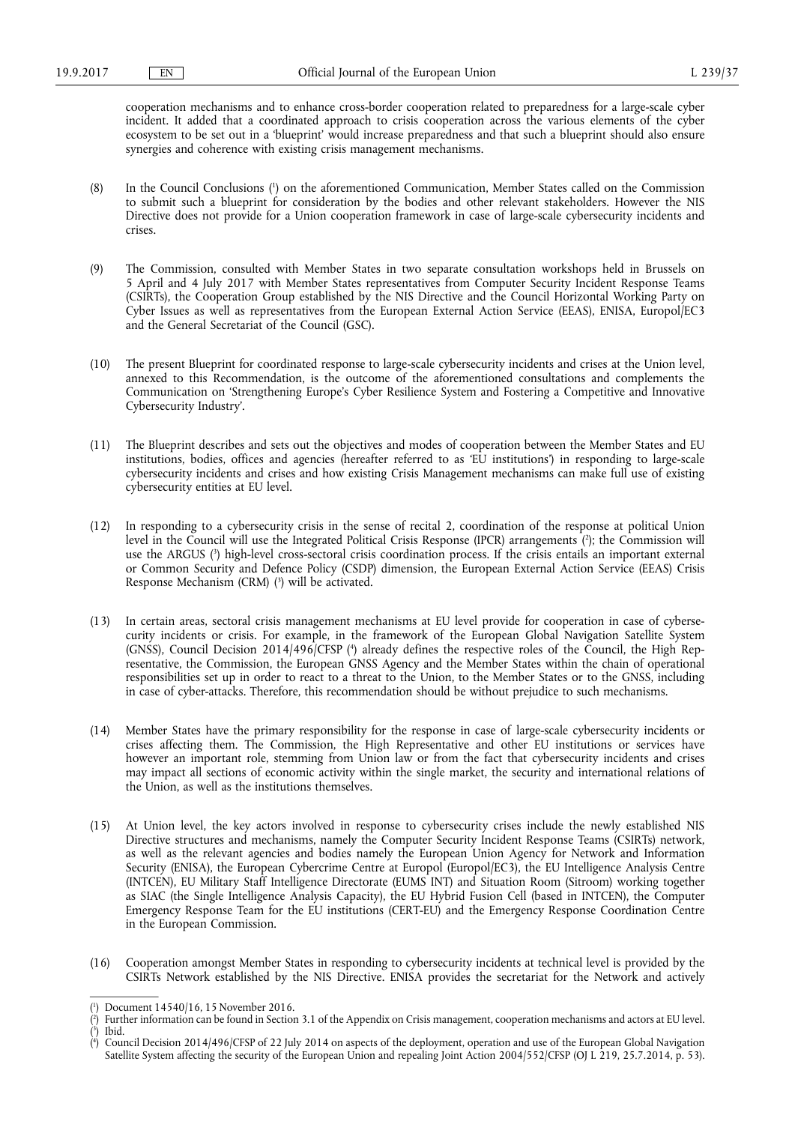cooperation mechanisms and to enhance cross-border cooperation related to preparedness for a large-scale cyber incident. It added that a coordinated approach to crisis cooperation across the various elements of the cyber ecosystem to be set out in a 'blueprint' would increase preparedness and that such a blueprint should also ensure synergies and coherence with existing crisis management mechanisms.

- (8) In the Council Conclusions (<sup>1</sup>) on the aforementioned Communication, Member States called on the Commission to submit such a blueprint for consideration by the bodies and other relevant stakeholders. However the NIS Directive does not provide for a Union cooperation framework in case of large-scale cybersecurity incidents and crises.
- (9) The Commission, consulted with Member States in two separate consultation workshops held in Brussels on 5 April and 4 July 2017 with Member States representatives from Computer Security Incident Response Teams (CSIRTs), the Cooperation Group established by the NIS Directive and the Council Horizontal Working Party on Cyber Issues as well as representatives from the European External Action Service (EEAS), ENISA, Europol/EC3 and the General Secretariat of the Council (GSC).
- (10) The present Blueprint for coordinated response to large-scale cybersecurity incidents and crises at the Union level, annexed to this Recommendation, is the outcome of the aforementioned consultations and complements the Communication on 'Strengthening Europe's Cyber Resilience System and Fostering a Competitive and Innovative Cybersecurity Industry'.
- (11) The Blueprint describes and sets out the objectives and modes of cooperation between the Member States and EU institutions, bodies, offices and agencies (hereafter referred to as 'EU institutions') in responding to large-scale cybersecurity incidents and crises and how existing Crisis Management mechanisms can make full use of existing cybersecurity entities at EU level.
- (12) In responding to a cybersecurity crisis in the sense of recital 2, coordination of the response at political Union level in the Council will use the Integrated Political Crisis Response (IPCR) arrangements ( 2 ); the Commission will use the ARGUS ( 3 ) high-level cross-sectoral crisis coordination process. If the crisis entails an important external or Common Security and Defence Policy (CSDP) dimension, the European External Action Service (EEAS) Crisis Response Mechanism (CRM) ( 3 ) will be activated.
- (13) In certain areas, sectoral crisis management mechanisms at EU level provide for cooperation in case of cybersecurity incidents or crisis. For example, in the framework of the European Global Navigation Satellite System (GNSS), Council Decision 2014/496/CFSP (\*) already defines the respective roles of the Council, the High Representative, the Commission, the European GNSS Agency and the Member States within the chain of operational responsibilities set up in order to react to a threat to the Union, to the Member States or to the GNSS, including in case of cyber-attacks. Therefore, this recommendation should be without prejudice to such mechanisms.
- (14) Member States have the primary responsibility for the response in case of large-scale cybersecurity incidents or crises affecting them. The Commission, the High Representative and other EU institutions or services have however an important role, stemming from Union law or from the fact that cybersecurity incidents and crises may impact all sections of economic activity within the single market, the security and international relations of the Union, as well as the institutions themselves.
- (15) At Union level, the key actors involved in response to cybersecurity crises include the newly established NIS Directive structures and mechanisms, namely the Computer Security Incident Response Teams (CSIRTs) network, as well as the relevant agencies and bodies namely the European Union Agency for Network and Information Security (ENISA), the European Cybercrime Centre at Europol (Europol/EC3), the EU Intelligence Analysis Centre (INTCEN), EU Military Staff Intelligence Directorate (EUMS INT) and Situation Room (Sitroom) working together as SIAC (the Single Intelligence Analysis Capacity), the EU Hybrid Fusion Cell (based in INTCEN), the Computer Emergency Response Team for the EU institutions (CERT-EU) and the Emergency Response Coordination Centre in the European Commission.
- (16) Cooperation amongst Member States in responding to cybersecurity incidents at technical level is provided by the CSIRTs Network established by the NIS Directive. ENISA provides the secretariat for the Network and actively

<sup>(</sup> 1 ) Document 14540/16, 15 November 2016.

 $(2)$ ) Further information can be found in Section 3.1 of the Appendix on Crisis management, cooperation mechanisms and actors at EU level. ( 3 ) Ibid.

<sup>(</sup> 4 ) Council Decision 2014/496/CFSP of 22 July 2014 on aspects of the deployment, operation and use of the European Global Navigation Satellite System affecting the security of the European Union and repealing Joint Action 2004/552/CFSP (OJ L 219, 25.7.2014, p. 53).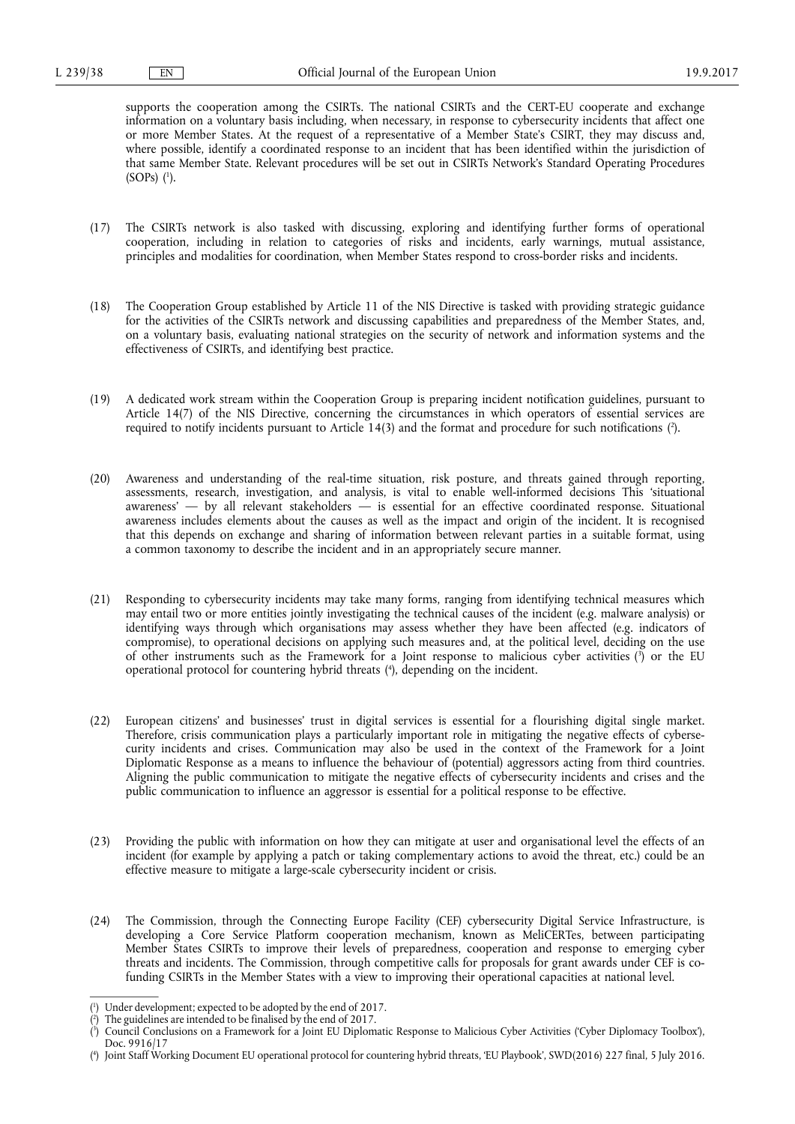supports the cooperation among the CSIRTs. The national CSIRTs and the CERT-EU cooperate and exchange information on a voluntary basis including, when necessary, in response to cybersecurity incidents that affect one or more Member States. At the request of a representative of a Member State's CSIRT, they may discuss and, where possible, identify a coordinated response to an incident that has been identified within the jurisdiction of that same Member State. Relevant procedures will be set out in CSIRTs Network's Standard Operating Procedures  $(SOPs)$   $(1)$ .

- (17) The CSIRTs network is also tasked with discussing, exploring and identifying further forms of operational cooperation, including in relation to categories of risks and incidents, early warnings, mutual assistance, principles and modalities for coordination, when Member States respond to cross-border risks and incidents.
- (18) The Cooperation Group established by Article 11 of the NIS Directive is tasked with providing strategic guidance for the activities of the CSIRTs network and discussing capabilities and preparedness of the Member States, and, on a voluntary basis, evaluating national strategies on the security of network and information systems and the effectiveness of CSIRTs, and identifying best practice.
- (19) A dedicated work stream within the Cooperation Group is preparing incident notification guidelines, pursuant to Article 14(7) of the NIS Directive, concerning the circumstances in which operators of essential services are required to notify incidents pursuant to Article 14(3) and the format and procedure for such notifications ( 2 ).
- (20) Awareness and understanding of the real-time situation, risk posture, and threats gained through reporting, assessments, research, investigation, and analysis, is vital to enable well-informed decisions This 'situational awareness' — by all relevant stakeholders — is essential for an effective coordinated response. Situational awareness includes elements about the causes as well as the impact and origin of the incident. It is recognised that this depends on exchange and sharing of information between relevant parties in a suitable format, using a common taxonomy to describe the incident and in an appropriately secure manner.
- (21) Responding to cybersecurity incidents may take many forms, ranging from identifying technical measures which may entail two or more entities jointly investigating the technical causes of the incident (e.g. malware analysis) or identifying ways through which organisations may assess whether they have been affected (e.g. indicators of compromise), to operational decisions on applying such measures and, at the political level, deciding on the use of other instruments such as the Framework for a Joint response to malicious cyber activities ( 3 ) or the EU operational protocol for countering hybrid threats ( 4 ), depending on the incident.
- (22) European citizens' and businesses' trust in digital services is essential for a flourishing digital single market. Therefore, crisis communication plays a particularly important role in mitigating the negative effects of cybersecurity incidents and crises. Communication may also be used in the context of the Framework for a Joint Diplomatic Response as a means to influence the behaviour of (potential) aggressors acting from third countries. Aligning the public communication to mitigate the negative effects of cybersecurity incidents and crises and the public communication to influence an aggressor is essential for a political response to be effective.
- (23) Providing the public with information on how they can mitigate at user and organisational level the effects of an incident (for example by applying a patch or taking complementary actions to avoid the threat, etc.) could be an effective measure to mitigate a large-scale cybersecurity incident or crisis.
- (24) The Commission, through the Connecting Europe Facility (CEF) cybersecurity Digital Service Infrastructure, is developing a Core Service Platform cooperation mechanism, known as MeliCERTes, between participating Member States CSIRTs to improve their levels of preparedness, cooperation and response to emerging cyber threats and incidents. The Commission, through competitive calls for proposals for grant awards under CEF is cofunding CSIRTs in the Member States with a view to improving their operational capacities at national level.

<sup>(</sup> 1 ) Under development; expected to be adopted by the end of 2017.

<sup>(</sup> 2 ) The guidelines are intended to be finalised by the end of 2017.

<sup>(</sup> 3 ) Council Conclusions on a Framework for a Joint EU Diplomatic Response to Malicious Cyber Activities ('Cyber Diplomacy Toolbox'), Doc. 9916/17

<sup>(</sup> 4 ) Joint Staff Working Document EU operational protocol for countering hybrid threats, 'EU Playbook', SWD(2016) 227 final, 5 July 2016.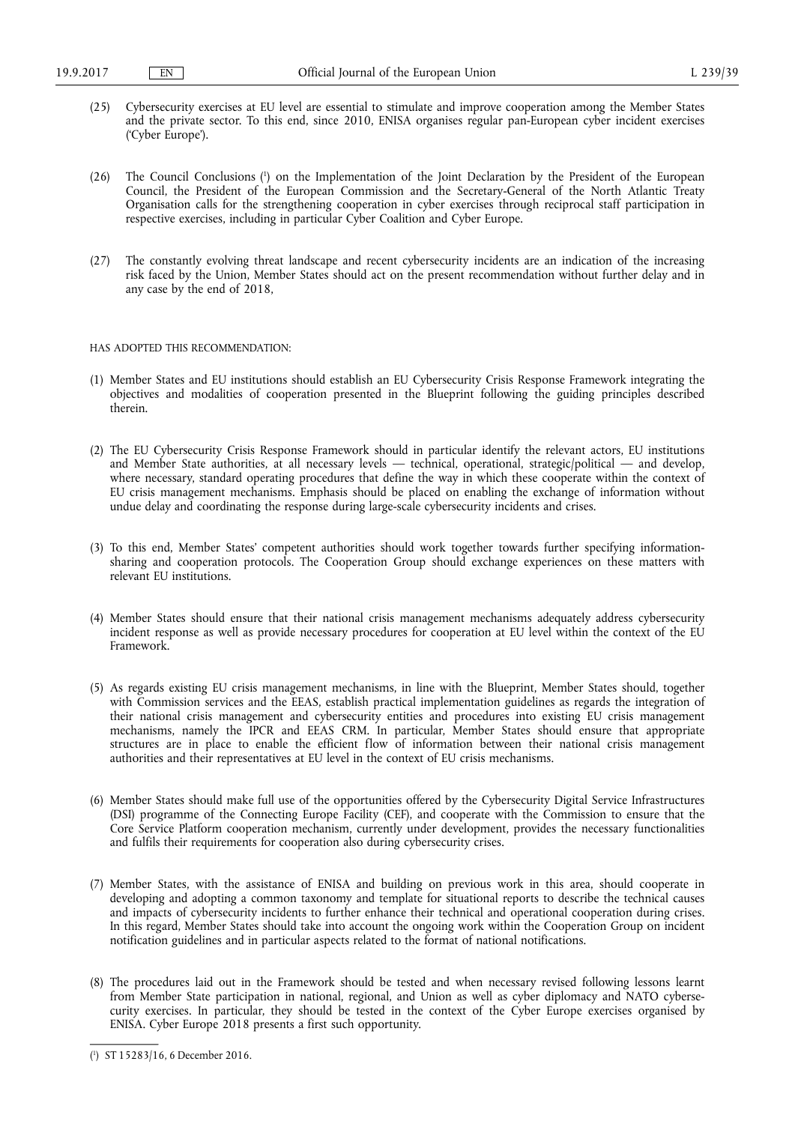- (25) Cybersecurity exercises at EU level are essential to stimulate and improve cooperation among the Member States and the private sector. To this end, since 2010, ENISA organises regular pan-European cyber incident exercises ('Cyber Europe').
- (26) The Council Conclusions ( 1 ) on the Implementation of the Joint Declaration by the President of the European Council, the President of the European Commission and the Secretary-General of the North Atlantic Treaty Organisation calls for the strengthening cooperation in cyber exercises through reciprocal staff participation in respective exercises, including in particular Cyber Coalition and Cyber Europe.
- (27) The constantly evolving threat landscape and recent cybersecurity incidents are an indication of the increasing risk faced by the Union, Member States should act on the present recommendation without further delay and in any case by the end of 2018,

## HAS ADOPTED THIS RECOMMENDATION:

- (1) Member States and EU institutions should establish an EU Cybersecurity Crisis Response Framework integrating the objectives and modalities of cooperation presented in the Blueprint following the guiding principles described therein.
- (2) The EU Cybersecurity Crisis Response Framework should in particular identify the relevant actors, EU institutions and Member State authorities, at all necessary levels — technical, operational, strategic/political — and develop, where necessary, standard operating procedures that define the way in which these cooperate within the context of EU crisis management mechanisms. Emphasis should be placed on enabling the exchange of information without undue delay and coordinating the response during large-scale cybersecurity incidents and crises.
- (3) To this end, Member States' competent authorities should work together towards further specifying informationsharing and cooperation protocols. The Cooperation Group should exchange experiences on these matters with relevant EU institutions.
- (4) Member States should ensure that their national crisis management mechanisms adequately address cybersecurity incident response as well as provide necessary procedures for cooperation at EU level within the context of the EU Framework.
- (5) As regards existing EU crisis management mechanisms, in line with the Blueprint, Member States should, together with Commission services and the EEAS, establish practical implementation guidelines as regards the integration of their national crisis management and cybersecurity entities and procedures into existing EU crisis management mechanisms, namely the IPCR and EEAS CRM. In particular, Member States should ensure that appropriate structures are in place to enable the efficient flow of information between their national crisis management authorities and their representatives at EU level in the context of EU crisis mechanisms.
- (6) Member States should make full use of the opportunities offered by the Cybersecurity Digital Service Infrastructures (DSI) programme of the Connecting Europe Facility (CEF), and cooperate with the Commission to ensure that the Core Service Platform cooperation mechanism, currently under development, provides the necessary functionalities and fulfils their requirements for cooperation also during cybersecurity crises.
- (7) Member States, with the assistance of ENISA and building on previous work in this area, should cooperate in developing and adopting a common taxonomy and template for situational reports to describe the technical causes and impacts of cybersecurity incidents to further enhance their technical and operational cooperation during crises. In this regard, Member States should take into account the ongoing work within the Cooperation Group on incident notification guidelines and in particular aspects related to the format of national notifications.
- (8) The procedures laid out in the Framework should be tested and when necessary revised following lessons learnt from Member State participation in national, regional, and Union as well as cyber diplomacy and NATO cybersecurity exercises. In particular, they should be tested in the context of the Cyber Europe exercises organised by ENISA. Cyber Europe 2018 presents a first such opportunity.

<sup>(</sup> 1 ) ST 15283/16, 6 December 2016.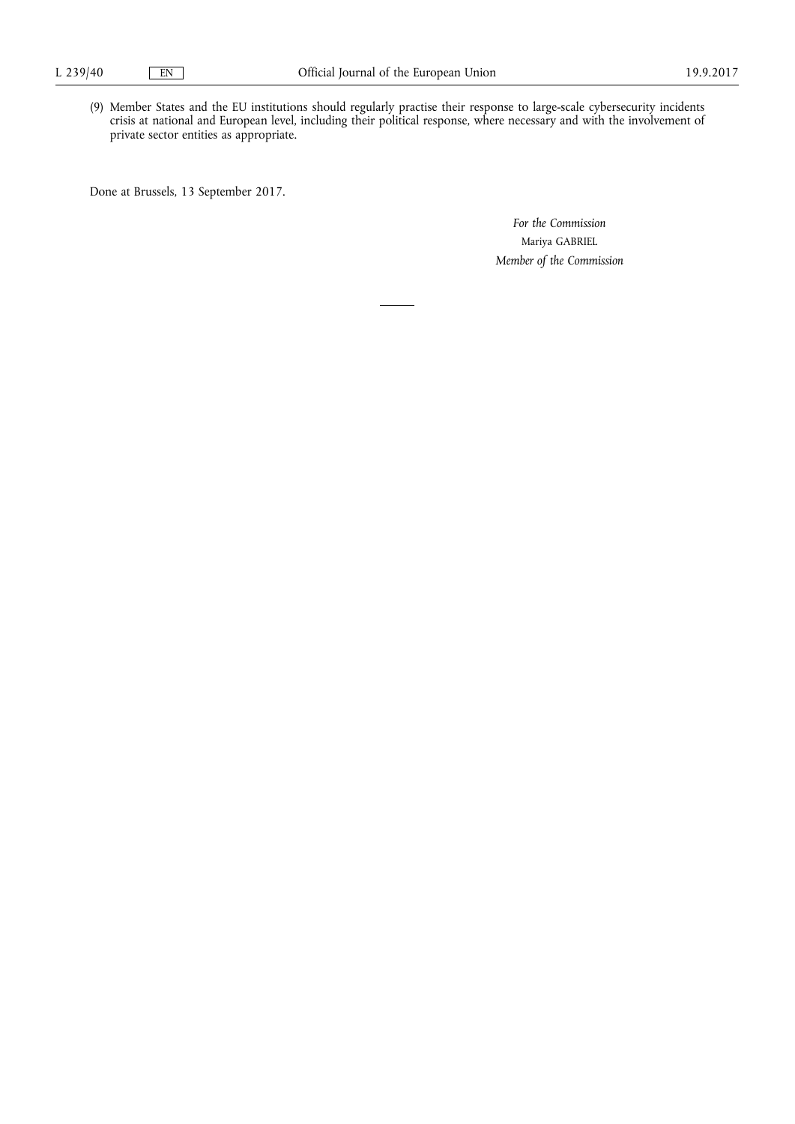(9) Member States and the EU institutions should regularly practise their response to large-scale cybersecurity incidents crisis at national and European level, including their political response, where necessary and with the involvement of private sector entities as appropriate.

Done at Brussels, 13 September 2017.

*For the Commission*  Mariya GABRIEL *Member of the Commission*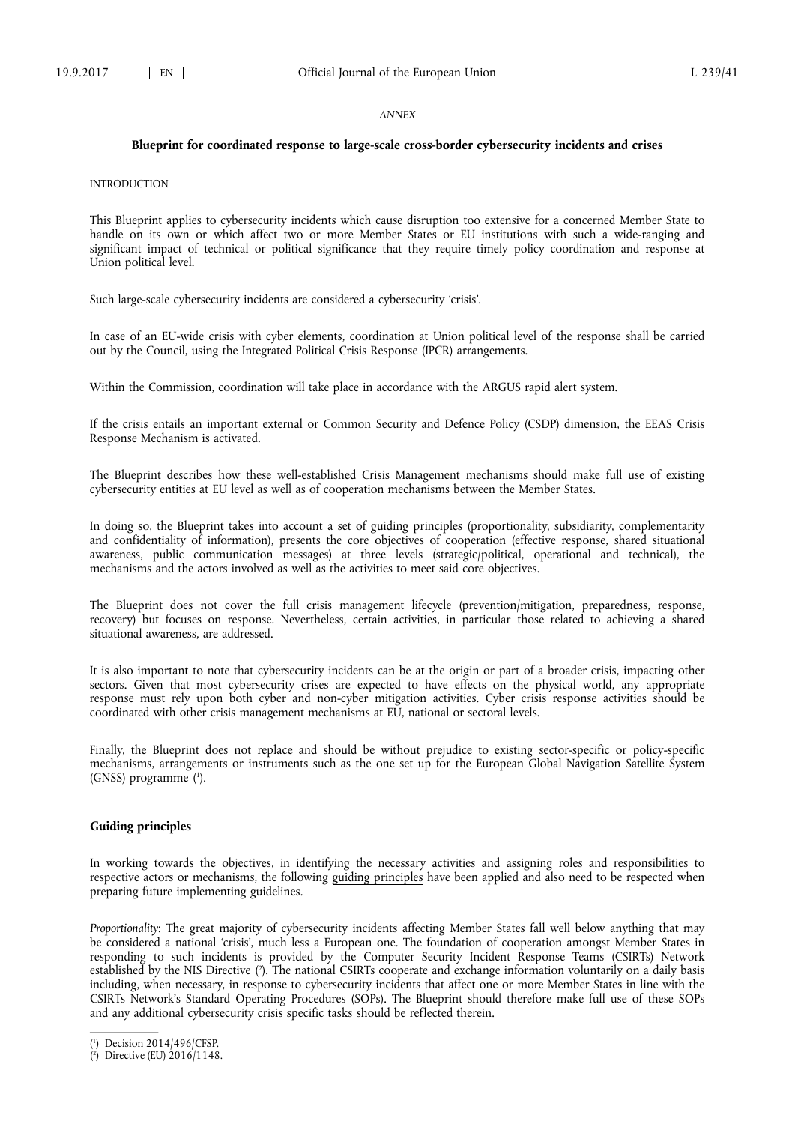## *ANNEX*

## **Blueprint for coordinated response to large-scale cross-border cybersecurity incidents and crises**

# INTRODUCTION

This Blueprint applies to cybersecurity incidents which cause disruption too extensive for a concerned Member State to handle on its own or which affect two or more Member States or EU institutions with such a wide-ranging and significant impact of technical or political significance that they require timely policy coordination and response at Union political level.

Such large-scale cybersecurity incidents are considered a cybersecurity 'crisis'.

In case of an EU-wide crisis with cyber elements, coordination at Union political level of the response shall be carried out by the Council, using the Integrated Political Crisis Response (IPCR) arrangements.

Within the Commission, coordination will take place in accordance with the ARGUS rapid alert system.

If the crisis entails an important external or Common Security and Defence Policy (CSDP) dimension, the EEAS Crisis Response Mechanism is activated.

The Blueprint describes how these well-established Crisis Management mechanisms should make full use of existing cybersecurity entities at EU level as well as of cooperation mechanisms between the Member States.

In doing so, the Blueprint takes into account a set of guiding principles (proportionality, subsidiarity, complementarity and confidentiality of information), presents the core objectives of cooperation (effective response, shared situational awareness, public communication messages) at three levels (strategic/political, operational and technical), the mechanisms and the actors involved as well as the activities to meet said core objectives.

The Blueprint does not cover the full crisis management lifecycle (prevention/mitigation, preparedness, response, recovery) but focuses on response. Nevertheless, certain activities, in particular those related to achieving a shared situational awareness, are addressed.

It is also important to note that cybersecurity incidents can be at the origin or part of a broader crisis, impacting other sectors. Given that most cybersecurity crises are expected to have effects on the physical world, any appropriate response must rely upon both cyber and non-cyber mitigation activities. Cyber crisis response activities should be coordinated with other crisis management mechanisms at EU, national or sectoral levels.

Finally, the Blueprint does not replace and should be without prejudice to existing sector-specific or policy-specific mechanisms, arrangements or instruments such as the one set up for the European Global Navigation Satellite System (GNSS) programme ( 1 ).

# **Guiding principles**

In working towards the objectives, in identifying the necessary activities and assigning roles and responsibilities to respective actors or mechanisms, the following guiding principles have been applied and also need to be respected when preparing future implementing guidelines.

*Proportionality*: The great majority of cybersecurity incidents affecting Member States fall well below anything that may be considered a national 'crisis', much less a European one. The foundation of cooperation amongst Member States in responding to such incidents is provided by the Computer Security Incident Response Teams (CSIRTs) Network established by the NIS Directive ( 2 ). The national CSIRTs cooperate and exchange information voluntarily on a daily basis including, when necessary, in response to cybersecurity incidents that affect one or more Member States in line with the CSIRTs Network's Standard Operating Procedures (SOPs). The Blueprint should therefore make full use of these SOPs and any additional cybersecurity crisis specific tasks should be reflected therein.

<sup>(</sup> 1 ) Decision 2014/496/CFSP.

<sup>(</sup> 2 ) Directive (EU) 2016/1148.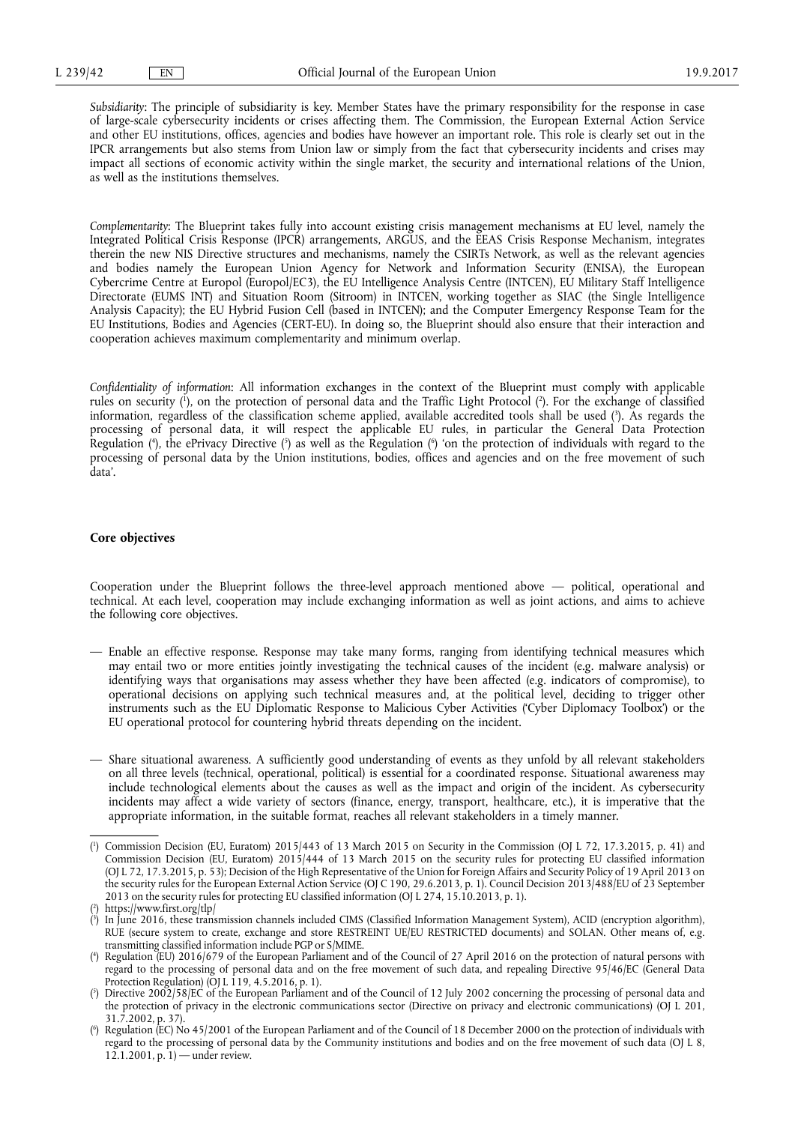*Subsidiarity*: The principle of subsidiarity is key. Member States have the primary responsibility for the response in case of large-scale cybersecurity incidents or crises affecting them. The Commission, the European External Action Service and other EU institutions, offices, agencies and bodies have however an important role. This role is clearly set out in the IPCR arrangements but also stems from Union law or simply from the fact that cybersecurity incidents and crises may impact all sections of economic activity within the single market, the security and international relations of the Union, as well as the institutions themselves.

*Complementarity*: The Blueprint takes fully into account existing crisis management mechanisms at EU level, namely the Integrated Political Crisis Response (IPCR) arrangements, ARGUS, and the EEAS Crisis Response Mechanism, integrates therein the new NIS Directive structures and mechanisms, namely the CSIRTs Network, as well as the relevant agencies and bodies namely the European Union Agency for Network and Information Security (ENISA), the European Cybercrime Centre at Europol (Europol/EC3), the EU Intelligence Analysis Centre (INTCEN), EU Military Staff Intelligence Directorate (EUMS INT) and Situation Room (Sitroom) in INTCEN, working together as SIAC (the Single Intelligence Analysis Capacity); the EU Hybrid Fusion Cell (based in INTCEN); and the Computer Emergency Response Team for the EU Institutions, Bodies and Agencies (CERT-EU). In doing so, the Blueprint should also ensure that their interaction and cooperation achieves maximum complementarity and minimum overlap.

*Confidentiality of information*: All information exchanges in the context of the Blueprint must comply with applicable rules on security ( 1 ), on the protection of personal data and the Traffic Light Protocol ( 2 ). For the exchange of classified information, regardless of the classification scheme applied, available accredited tools shall be used ( 3 ). As regards the processing of personal data, it will respect the applicable EU rules, in particular the General Data Protection Regulation ( 4 ), the ePrivacy Directive ( 5 ) as well as the Regulation ( 6 ) 'on the protection of individuals with regard to the processing of personal data by the Union institutions, bodies, offices and agencies and on the free movement of such data'.

## **Core objectives**

Cooperation under the Blueprint follows the three-level approach mentioned above — political, operational and technical. At each level, cooperation may include exchanging information as well as joint actions, and aims to achieve the following core objectives.

- Enable an effective response. Response may take many forms, ranging from identifying technical measures which may entail two or more entities jointly investigating the technical causes of the incident (e.g. malware analysis) or identifying ways that organisations may assess whether they have been affected (e.g. indicators of compromise), to operational decisions on applying such technical measures and, at the political level, deciding to trigger other instruments such as the EU Diplomatic Response to Malicious Cyber Activities ('Cyber Diplomacy Toolbox') or the EU operational protocol for countering hybrid threats depending on the incident.
- Share situational awareness. A sufficiently good understanding of events as they unfold by all relevant stakeholders on all three levels (technical, operational, political) is essential for a coordinated response. Situational awareness may include technological elements about the causes as well as the impact and origin of the incident. As cybersecurity incidents may affect a wide variety of sectors (finance, energy, transport, healthcare, etc.), it is imperative that the appropriate information, in the suitable format, reaches all relevant stakeholders in a timely manner.

<sup>(</sup> 1 ) Commission Decision (EU, Euratom) 2015/443 of 13 March 2015 on Security in the Commission (OJ L 72, 17.3.2015, p. 41) and Commission Decision (EU, Euratom) 2015/444 of 13 March 2015 on the security rules for protecting EU classified information (OJ L 72, 17.3.2015, p. 53); Decision of the High Representative of the Union for Foreign Affairs and Security Policy of 19 April 2013 on the security rules for the European External Action Service (OJ C 190, 29.6.2013, p. 1). Council Decision 2013/488/EU of 23 September 2013 on the security rules for protecting EU classified information (OJ L 274, 15.10.2013, p. 1).

<sup>(</sup> 2 ) <https://www.first.org/tlp/>

<sup>(</sup> 3 ) In June 2016, these transmission channels included CIMS (Classified Information Management System), ACID (encryption algorithm), RUE (secure system to create, exchange and store RESTREINT UE/EU RESTRICTED documents) and SOLAN. Other means of, e.g. transmitting classified information include PGP or S/MIME.

<sup>(</sup> 4 ) Regulation (EU) 2016/679 of the European Parliament and of the Council of 27 April 2016 on the protection of natural persons with regard to the processing of personal data and on the free movement of such data, and repealing Directive 95/46/EC (General Data Protection Regulation) (OJ L 119, 4.5.2016, p. 1).

<sup>(</sup> 5 ) Directive 2002/58/EC of the European Parliament and of the Council of 12 July 2002 concerning the processing of personal data and the protection of privacy in the electronic communications sector (Directive on privacy and electronic communications) (OJ L 201,  $31.\overline{7}.\overline{2002}$ , p. 37).

<sup>(</sup> 6 ) Regulation (EC) No 45/2001 of the European Parliament and of the Council of 18 December 2000 on the protection of individuals with regard to the processing of personal data by the Community institutions and bodies and on the free movement of such data (OJ L 8,  $12.1.2001$ , p. 1) — under review.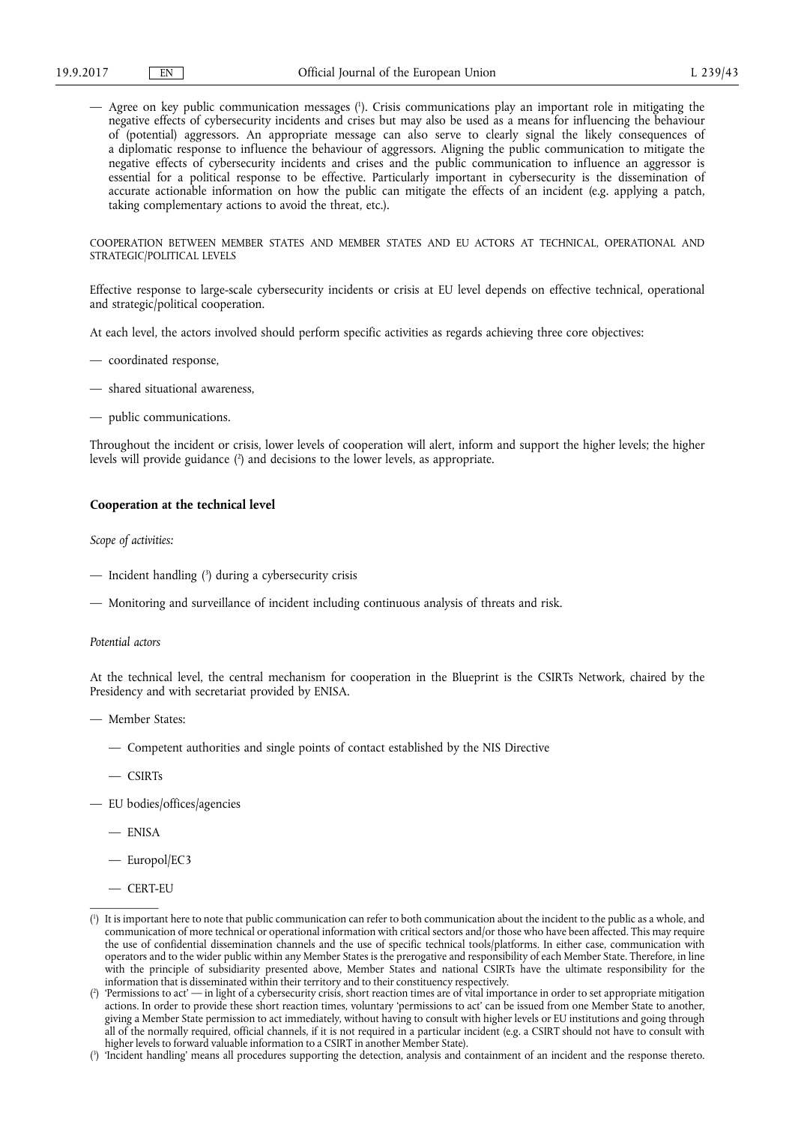— Agree on key public communication messages ( 1 ). Crisis communications play an important role in mitigating the negative effects of cybersecurity incidents and crises but may also be used as a means for influencing the behaviour of (potential) aggressors. An appropriate message can also serve to clearly signal the likely consequences of a diplomatic response to influence the behaviour of aggressors. Aligning the public communication to mitigate the negative effects of cybersecurity incidents and crises and the public communication to influence an aggressor is essential for a political response to be effective. Particularly important in cybersecurity is the dissemination of accurate actionable information on how the public can mitigate the effects of an incident (e.g. applying a patch, taking complementary actions to avoid the threat, etc.).

COOPERATION BETWEEN MEMBER STATES AND MEMBER STATES AND EU ACTORS AT TECHNICAL, OPERATIONAL AND STRATEGIC/POLITICAL LEVELS

Effective response to large-scale cybersecurity incidents or crisis at EU level depends on effective technical, operational and strategic/political cooperation.

At each level, the actors involved should perform specific activities as regards achieving three core objectives:

- coordinated response,
- shared situational awareness,
- public communications.

Throughout the incident or crisis, lower levels of cooperation will alert, inform and support the higher levels; the higher levels will provide guidance ( 2 ) and decisions to the lower levels, as appropriate.

# **Cooperation at the technical level**

*Scope of activities:* 

- Incident handling ( 3 ) during a cybersecurity crisis
- Monitoring and surveillance of incident including continuous analysis of threats and risk.

# *Potential actors*

At the technical level, the central mechanism for cooperation in the Blueprint is the CSIRTs Network, chaired by the Presidency and with secretariat provided by ENISA.

- Member States:
	- Competent authorities and single points of contact established by the NIS Directive

— CSIRTs

- EU bodies/offices/agencies
	- ENISA
	- Europol/EC3
	- CERT-EU

<sup>(</sup> 1 ) It is important here to note that public communication can refer to both communication about the incident to the public as a whole, and communication of more technical or operational information with critical sectors and/or those who have been affected. This may require the use of confidential dissemination channels and the use of specific technical tools/platforms. In either case, communication with operators and to the wider public within any Member States is the prerogative and responsibility of each Member State. Therefore, in line with the principle of subsidiarity presented above, Member States and national CSIRTs have the ultimate responsibility for the information that is disseminated within their territory and to their constituency respectively.

<sup>(</sup> 2 ) 'Permissions to act' — in light of a cybersecurity crisis, short reaction times are of vital importance in order to set appropriate mitigation actions. In order to provide these short reaction times, voluntary 'permissions to act' can be issued from one Member State to another, giving a Member State permission to act immediately, without having to consult with higher levels or EU institutions and going through all of the normally required, official channels, if it is not required in a particular incident (e.g. a CSIRT should not have to consult with higher levels to forward valuable information to a CSIRT in another Member State).

<sup>(</sup> 3 ) 'Incident handling' means all procedures supporting the detection, analysis and containment of an incident and the response thereto.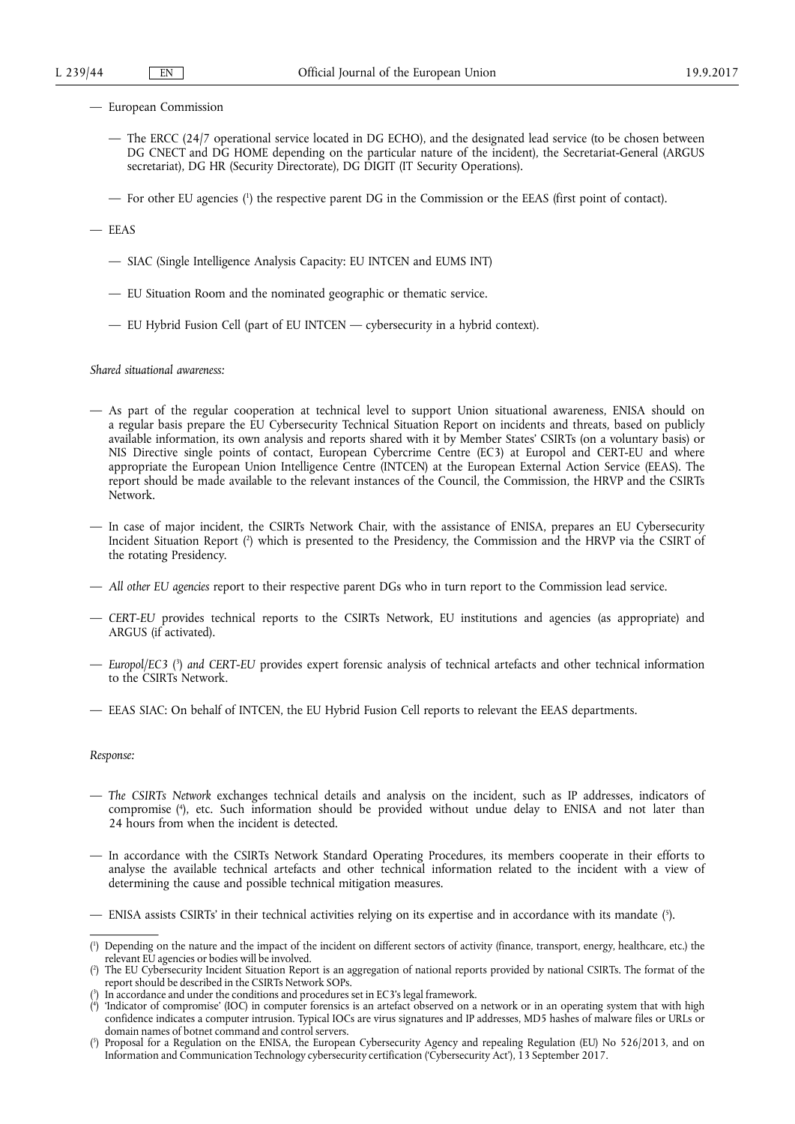- European Commission
	- The ERCC (24/7 operational service located in DG ECHO), and the designated lead service (to be chosen between DG CNECT and DG HOME depending on the particular nature of the incident), the Secretariat-General (ARGUS secretariat), DG HR (Security Directorate), DG DIGIT (IT Security Operations).
	- For other EU agencies ( 1 ) the respective parent DG in the Commission or the EEAS (first point of contact).
- EEAS
	- SIAC (Single Intelligence Analysis Capacity: EU INTCEN and EUMS INT)
	- EU Situation Room and the nominated geographic or thematic service.
	- EU Hybrid Fusion Cell (part of EU INTCEN cybersecurity in a hybrid context).

*Shared situational awareness:* 

- As part of the regular cooperation at technical level to support Union situational awareness, ENISA should on a regular basis prepare the EU Cybersecurity Technical Situation Report on incidents and threats, based on publicly available information, its own analysis and reports shared with it by Member States' CSIRTs (on a voluntary basis) or NIS Directive single points of contact, European Cybercrime Centre (EC3) at Europol and CERT-EU and where appropriate the European Union Intelligence Centre (INTCEN) at the European External Action Service (EEAS). The report should be made available to the relevant instances of the Council, the Commission, the HRVP and the CSIRTs Network.
- In case of major incident, the CSIRTs Network Chair, with the assistance of ENISA, prepares an EU Cybersecurity Incident Situation Report ( 2 ) which is presented to the Presidency, the Commission and the HRVP via the CSIRT of the rotating Presidency.
- *All other EU agencies* report to their respective parent DGs who in turn report to the Commission lead service.
- *CERT-EU* provides technical reports to the CSIRTs Network, EU institutions and agencies (as appropriate) and ARGUS (if activated).
- *Europol/EC3* ( 3 ) *and CERT-EU* provides expert forensic analysis of technical artefacts and other technical information to the CSIRTs Network.
- EEAS SIAC: On behalf of INTCEN, the EU Hybrid Fusion Cell reports to relevant the EEAS departments.

*Response:* 

- *The CSIRTs Network* exchanges technical details and analysis on the incident, such as IP addresses, indicators of compromise ( 4 ), etc. Such information should be provided without undue delay to ENISA and not later than 24 hours from when the incident is detected.
- In accordance with the CSIRTs Network Standard Operating Procedures, its members cooperate in their efforts to analyse the available technical artefacts and other technical information related to the incident with a view of determining the cause and possible technical mitigation measures.

<sup>—</sup> ENISA assists CSIRTs' in their technical activities relying on its expertise and in accordance with its mandate ( 5 ).

<sup>(</sup> 1 ) Depending on the nature and the impact of the incident on different sectors of activity (finance, transport, energy, healthcare, etc.) the relevant EU agencies or bodies will be involved.

<sup>(</sup> 2 ) The EU Cybersecurity Incident Situation Report is an aggregation of national reports provided by national CSIRTs. The format of the report should be described in the CSIRTs Network SOPs.

<sup>(</sup> 3 ) In accordance and under the conditions and procedures set in EC3's legal framework.

<sup>(</sup> 4 ) 'Indicator of compromise' (IOC) in computer forensics is an artefact observed on a network or in an operating system that with high confidence indicates a computer intrusion. Typical IOCs are virus signatures and IP addresses, MD5 hashes of malware files or URLs or domain names of botnet command and control servers.

<sup>(</sup> 5 ) Proposal for a Regulation on the ENISA, the European Cybersecurity Agency and repealing Regulation (EU) No 526/2013, and on Information and Communication Technology cybersecurity certification ('Cybersecurity Act'), 13 September 2017.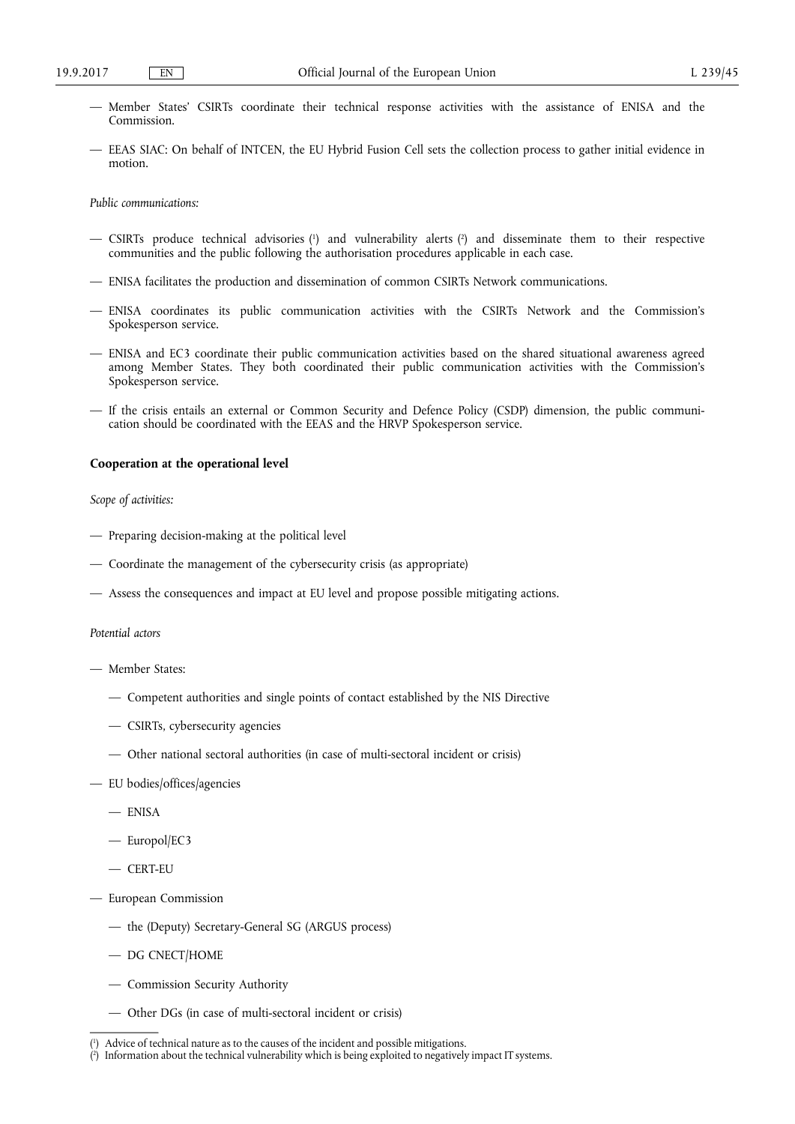- Member States' CSIRTs coordinate their technical response activities with the assistance of ENISA and the Commission.
- EEAS SIAC: On behalf of INTCEN, the EU Hybrid Fusion Cell sets the collection process to gather initial evidence in motion.

*Public communications:* 

- CSIRTs produce technical advisories ( 1 ) and vulnerability alerts ( 2 ) and disseminate them to their respective communities and the public following the authorisation procedures applicable in each case.
- ENISA facilitates the production and dissemination of common CSIRTs Network communications.
- ENISA coordinates its public communication activities with the CSIRTs Network and the Commission's Spokesperson service.
- ENISA and EC3 coordinate their public communication activities based on the shared situational awareness agreed among Member States. They both coordinated their public communication activities with the Commission's Spokesperson service.
- If the crisis entails an external or Common Security and Defence Policy (CSDP) dimension, the public communication should be coordinated with the EEAS and the HRVP Spokesperson service.

## **Cooperation at the operational level**

# *Scope of activities:*

- Preparing decision-making at the political level
- Coordinate the management of the cybersecurity crisis (as appropriate)
- Assess the consequences and impact at EU level and propose possible mitigating actions.

#### *Potential actors*

- Member States:
	- Competent authorities and single points of contact established by the NIS Directive
	- CSIRTs, cybersecurity agencies
	- Other national sectoral authorities (in case of multi-sectoral incident or crisis)
- EU bodies/offices/agencies
	- ENISA
	- Europol/EC3
	- CERT-EU
- European Commission
	- the (Deputy) Secretary-General SG (ARGUS process)
	- DG CNECT/HOME
	- Commission Security Authority
	- Other DGs (in case of multi-sectoral incident or crisis)

<sup>(</sup> 1 ) Advice of technical nature as to the causes of the incident and possible mitigations.

<sup>(</sup> 2 ) Information about the technical vulnerability which is being exploited to negatively impact IT systems.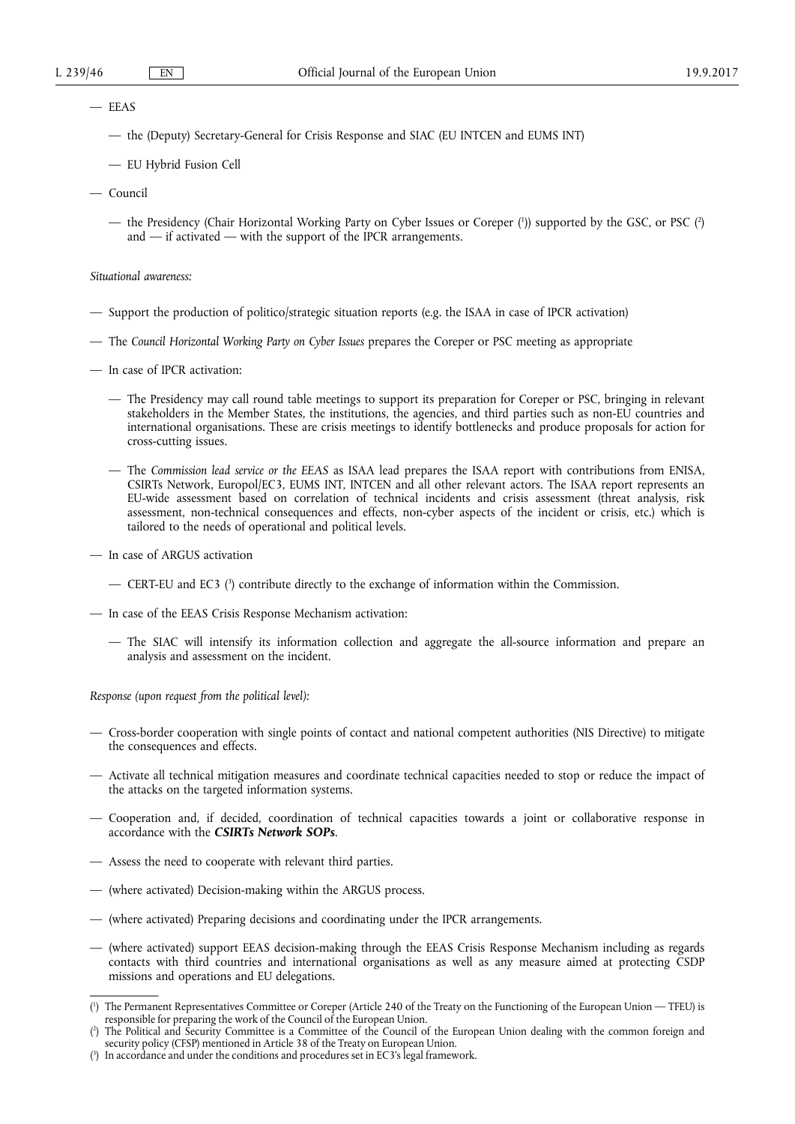- EEAS
	- the (Deputy) Secretary-General for Crisis Response and SIAC (EU INTCEN and EUMS INT)
	- EU Hybrid Fusion Cell
- Council
	- the Presidency (Chair Horizontal Working Party on Cyber Issues or Coreper (')) supported by the GSC, or PSC (?) and — if activated — with the support of the IPCR arrangements.

*Situational awareness:* 

- Support the production of politico/strategic situation reports (e.g. the ISAA in case of IPCR activation)
- The *Council Horizontal Working Party on Cyber Issues* prepares the Coreper or PSC meeting as appropriate
- In case of IPCR activation:
	- The Presidency may call round table meetings to support its preparation for Coreper or PSC, bringing in relevant stakeholders in the Member States, the institutions, the agencies, and third parties such as non-EU countries and international organisations. These are crisis meetings to identify bottlenecks and produce proposals for action for cross-cutting issues.
	- The *Commission lead service or the EEAS* as ISAA lead prepares the ISAA report with contributions from ENISA, CSIRTs Network, Europol/EC3, EUMS INT, INTCEN and all other relevant actors. The ISAA report represents an EU-wide assessment based on correlation of technical incidents and crisis assessment (threat analysis, risk assessment, non-technical consequences and effects, non-cyber aspects of the incident or crisis, etc.) which is tailored to the needs of operational and political levels.
- In case of ARGUS activation
	- CERT-EU and EC3 ( 3 ) contribute directly to the exchange of information within the Commission.
- In case of the EEAS Crisis Response Mechanism activation:
	- The SIAC will intensify its information collection and aggregate the all-source information and prepare an analysis and assessment on the incident.

*Response (upon request from the political level):* 

- Cross-border cooperation with single points of contact and national competent authorities (NIS Directive) to mitigate the consequences and effects.
- Activate all technical mitigation measures and coordinate technical capacities needed to stop or reduce the impact of the attacks on the targeted information systems.
- Cooperation and, if decided, coordination of technical capacities towards a joint or collaborative response in accordance with the *CSIRTs Network SOPs*.
- Assess the need to cooperate with relevant third parties.
- (where activated) Decision-making within the ARGUS process.
- (where activated) Preparing decisions and coordinating under the IPCR arrangements.
- (where activated) support EEAS decision-making through the EEAS Crisis Response Mechanism including as regards contacts with third countries and international organisations as well as any measure aimed at protecting CSDP missions and operations and EU delegations.

<sup>(</sup> 1 ) The Permanent Representatives Committee or Coreper (Article 240 of the Treaty on the Functioning of the European Union — TFEU) is responsible for preparing the work of the Council of the European Union.

<sup>(</sup> 2 ) The Political and Security Committee is a Committee of the Council of the European Union dealing with the common foreign and security policy (CFSP) mentioned in Article 38 of the Treaty on European Union.

<sup>(</sup> 3 ) In accordance and under the conditions and procedures set in EC3's legal framework.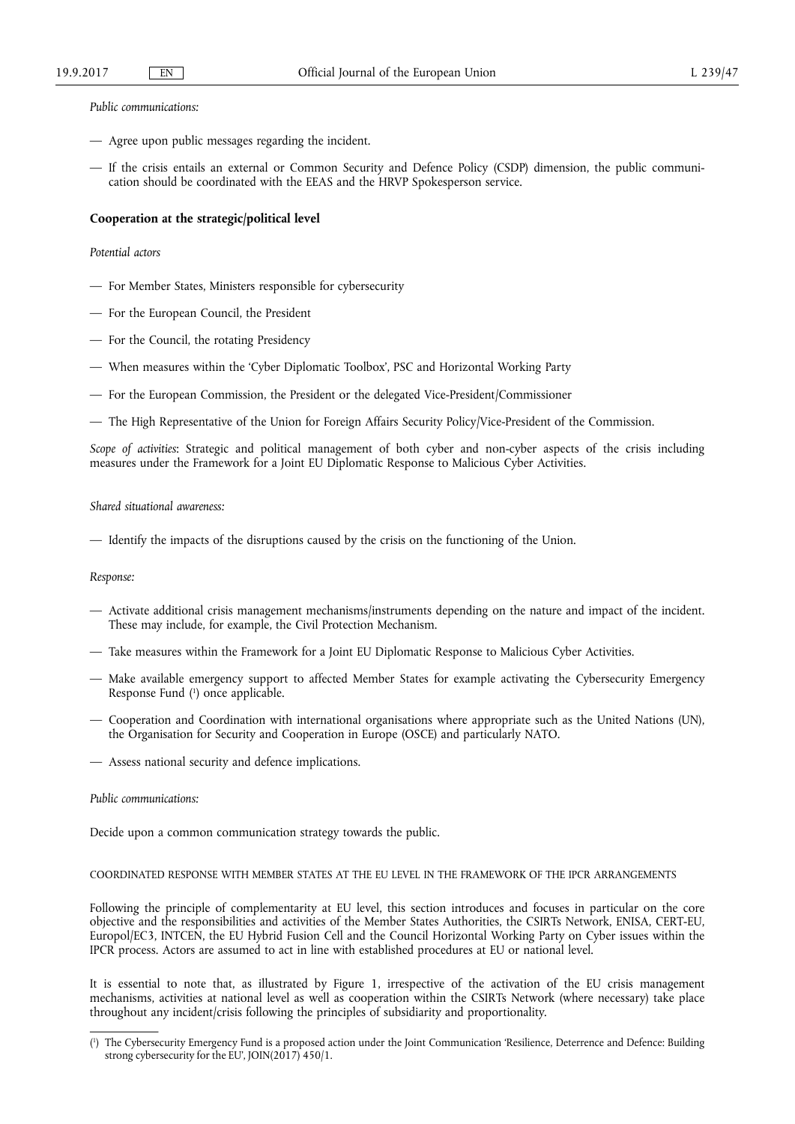*Public communications:* 

- Agree upon public messages regarding the incident.
- If the crisis entails an external or Common Security and Defence Policy (CSDP) dimension, the public communication should be coordinated with the EEAS and the HRVP Spokesperson service.

# **Cooperation at the strategic/political level**

## *Potential actors*

- For Member States, Ministers responsible for cybersecurity
- For the European Council, the President
- For the Council, the rotating Presidency
- When measures within the 'Cyber Diplomatic Toolbox', PSC and Horizontal Working Party
- For the European Commission, the President or the delegated Vice-President/Commissioner
- The High Representative of the Union for Foreign Affairs Security Policy/Vice-President of the Commission.

*Scope of activities*: Strategic and political management of both cyber and non-cyber aspects of the crisis including measures under the Framework for a Joint EU Diplomatic Response to Malicious Cyber Activities.

## *Shared situational awareness:*

— Identify the impacts of the disruptions caused by the crisis on the functioning of the Union.

# *Response:*

- Activate additional crisis management mechanisms/instruments depending on the nature and impact of the incident. These may include, for example, the Civil Protection Mechanism.
- Take measures within the Framework for a Joint EU Diplomatic Response to Malicious Cyber Activities.
- Make available emergency support to affected Member States for example activating the Cybersecurity Emergency Response Fund ( 1 ) once applicable.
- Cooperation and Coordination with international organisations where appropriate such as the United Nations (UN), the Organisation for Security and Cooperation in Europe (OSCE) and particularly NATO.
- Assess national security and defence implications.

#### *Public communications:*

Decide upon a common communication strategy towards the public.

# COORDINATED RESPONSE WITH MEMBER STATES AT THE EU LEVEL IN THE FRAMEWORK OF THE IPCR ARRANGEMENTS

Following the principle of complementarity at EU level, this section introduces and focuses in particular on the core objective and the responsibilities and activities of the Member States Authorities, the CSIRTs Network, ENISA, CERT-EU, Europol/EC3, INTCEN, the EU Hybrid Fusion Cell and the Council Horizontal Working Party on Cyber issues within the IPCR process. Actors are assumed to act in line with established procedures at EU or national level.

It is essential to note that, as illustrated by Figure 1, irrespective of the activation of the EU crisis management mechanisms, activities at national level as well as cooperation within the CSIRTs Network (where necessary) take place throughout any incident/crisis following the principles of subsidiarity and proportionality.

<sup>(</sup> 1 ) The Cybersecurity Emergency Fund is a proposed action under the Joint Communication 'Resilience, Deterrence and Defence: Building strong cybersecurity for the EU', JOIN(2017) 450/1.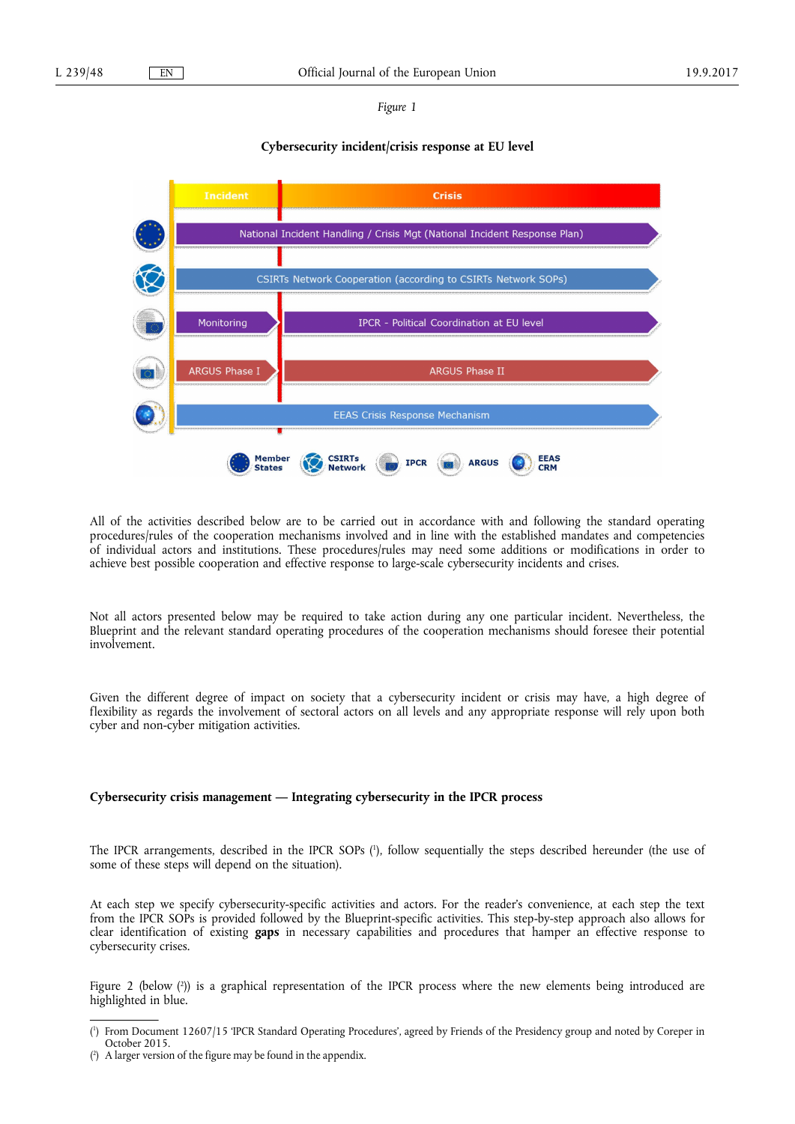*Figure 1* 

# **Cybersecurity incident/crisis response at EU level**



All of the activities described below are to be carried out in accordance with and following the standard operating procedures/rules of the cooperation mechanisms involved and in line with the established mandates and competencies of individual actors and institutions. These procedures/rules may need some additions or modifications in order to achieve best possible cooperation and effective response to large-scale cybersecurity incidents and crises.

Not all actors presented below may be required to take action during any one particular incident. Nevertheless, the Blueprint and the relevant standard operating procedures of the cooperation mechanisms should foresee their potential involvement.

Given the different degree of impact on society that a cybersecurity incident or crisis may have, a high degree of flexibility as regards the involvement of sectoral actors on all levels and any appropriate response will rely upon both cyber and non-cyber mitigation activities.

# **Cybersecurity crisis management — Integrating cybersecurity in the IPCR process**

The IPCR arrangements, described in the IPCR SOPs ( 1 ), follow sequentially the steps described hereunder (the use of some of these steps will depend on the situation).

At each step we specify cybersecurity-specific activities and actors. For the reader's convenience, at each step the text from the IPCR SOPs is provided followed by the Blueprint-specific activities. This step-by-step approach also allows for clear identification of existing **gaps** in necessary capabilities and procedures that hamper an effective response to cybersecurity crises.

Figure 2 (below ( 2 )) is a graphical representation of the IPCR process where the new elements being introduced are highlighted in blue.

<sup>(</sup> 1 ) From Document 12607/15 'IPCR Standard Operating Procedures', agreed by Friends of the Presidency group and noted by Coreper in October 2015.

<sup>(</sup> 2 ) A larger version of the figure may be found in the appendix.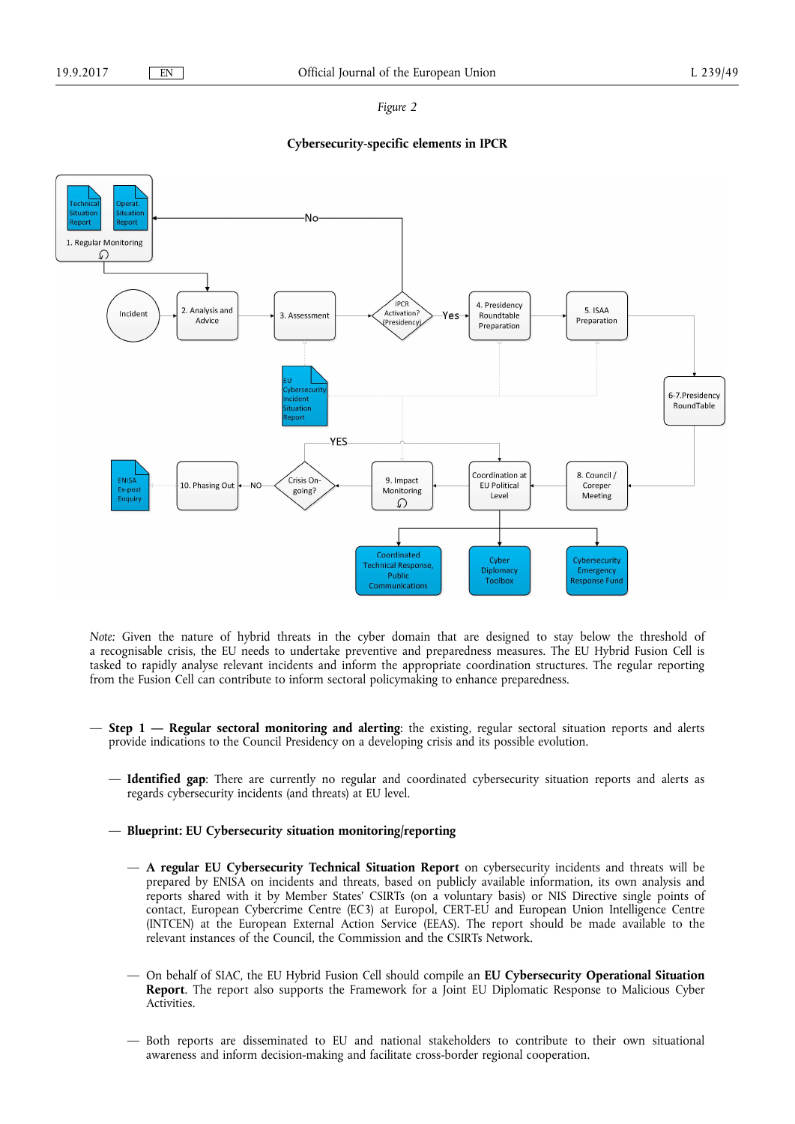#### *Figure 2*

# **Cybersecurity-specific elements in IPCR**



*Note:* Given the nature of hybrid threats in the cyber domain that are designed to stay below the threshold of a recognisable crisis, the EU needs to undertake preventive and preparedness measures. The EU Hybrid Fusion Cell is tasked to rapidly analyse relevant incidents and inform the appropriate coordination structures. The regular reporting from the Fusion Cell can contribute to inform sectoral policymaking to enhance preparedness.

- **Step 1 Regular sectoral monitoring and alerting**: the existing, regular sectoral situation reports and alerts provide indications to the Council Presidency on a developing crisis and its possible evolution.
	- **Identified gap**: There are currently no regular and coordinated cybersecurity situation reports and alerts as regards cybersecurity incidents (and threats) at EU level.
	- **Blueprint: EU Cybersecurity situation monitoring/reporting** 
		- **A regular EU Cybersecurity Technical Situation Report** on cybersecurity incidents and threats will be prepared by ENISA on incidents and threats, based on publicly available information, its own analysis and reports shared with it by Member States' CSIRTs (on a voluntary basis) or NIS Directive single points of contact, European Cybercrime Centre (EC3) at Europol, CERT-EU and European Union Intelligence Centre (INTCEN) at the European External Action Service (EEAS). The report should be made available to the relevant instances of the Council, the Commission and the CSIRTs Network.
		- On behalf of SIAC, the EU Hybrid Fusion Cell should compile an **EU Cybersecurity Operational Situation Report**. The report also supports the Framework for a Joint EU Diplomatic Response to Malicious Cyber Activities.
		- Both reports are disseminated to EU and national stakeholders to contribute to their own situational awareness and inform decision-making and facilitate cross-border regional cooperation.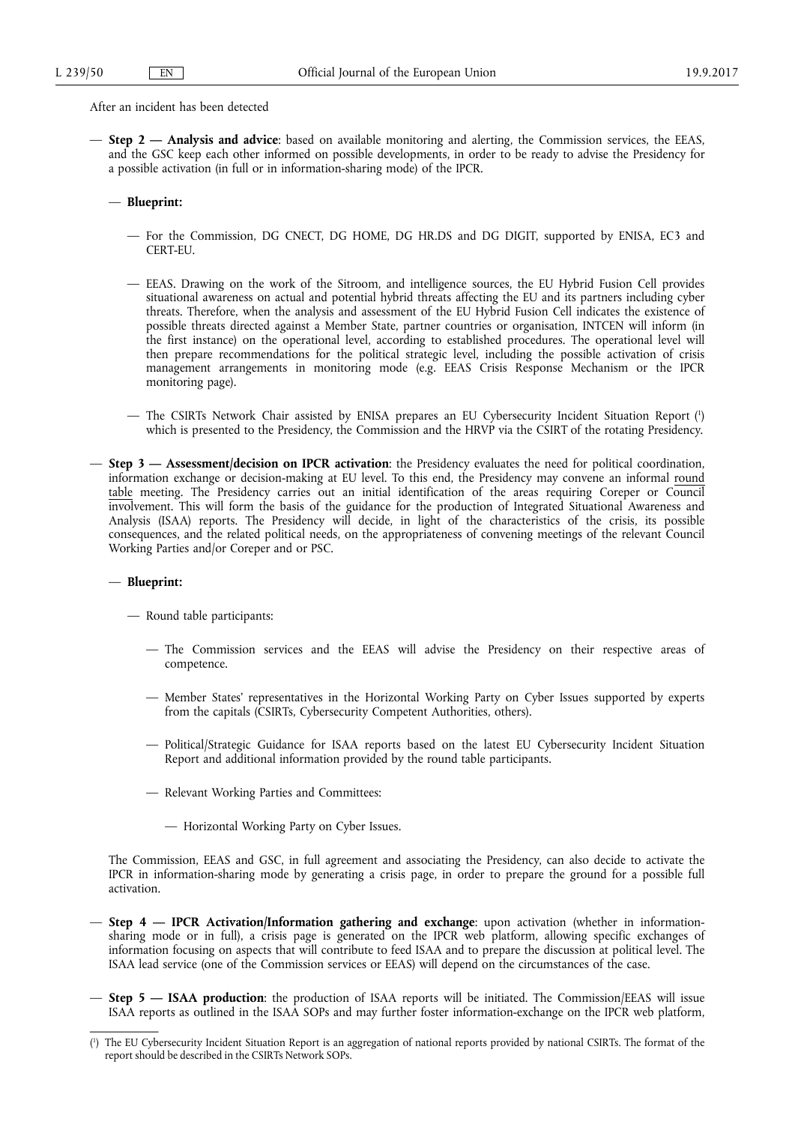After an incident has been detected

— **Step 2 — Analysis and advice**: based on available monitoring and alerting, the Commission services, the EEAS, and the GSC keep each other informed on possible developments, in order to be ready to advise the Presidency for a possible activation (in full or in information-sharing mode) of the IPCR.

## — **Blueprint:**

- For the Commission, DG CNECT, DG HOME, DG HR.DS and DG DIGIT, supported by ENISA, EC3 and CERT-EU.
- EEAS. Drawing on the work of the Sitroom, and intelligence sources, the EU Hybrid Fusion Cell provides situational awareness on actual and potential hybrid threats affecting the EU and its partners including cyber threats. Therefore, when the analysis and assessment of the EU Hybrid Fusion Cell indicates the existence of possible threats directed against a Member State, partner countries or organisation, INTCEN will inform (in the first instance) on the operational level, according to established procedures. The operational level will then prepare recommendations for the political strategic level, including the possible activation of crisis management arrangements in monitoring mode (e.g. EEAS Crisis Response Mechanism or the IPCR monitoring page).
- The CSIRTs Network Chair assisted by ENISA prepares an EU Cybersecurity Incident Situation Report ( 1 ) which is presented to the Presidency, the Commission and the HRVP via the CSIRT of the rotating Presidency.
- **Step 3 Assessment/decision on IPCR activation**: the Presidency evaluates the need for political coordination, information exchange or decision-making at EU level. To this end, the Presidency may convene an informal round table meeting. The Presidency carries out an initial identification of the areas requiring Coreper or Council involvement. This will form the basis of the guidance for the production of Integrated Situational Awareness and Analysis (ISAA) reports. The Presidency will decide, in light of the characteristics of the crisis, its possible consequences, and the related political needs, on the appropriateness of convening meetings of the relevant Council Working Parties and/or Coreper and or PSC.

# — **Blueprint:**

— Round table participants:

- The Commission services and the EEAS will advise the Presidency on their respective areas of competence.
- Member States' representatives in the Horizontal Working Party on Cyber Issues supported by experts from the capitals (CSIRTs, Cybersecurity Competent Authorities, others).
- Political/Strategic Guidance for ISAA reports based on the latest EU Cybersecurity Incident Situation Report and additional information provided by the round table participants.
- Relevant Working Parties and Committees:
	- Horizontal Working Party on Cyber Issues.

The Commission, EEAS and GSC, in full agreement and associating the Presidency, can also decide to activate the IPCR in information-sharing mode by generating a crisis page, in order to prepare the ground for a possible full activation.

- **Step 4 IPCR Activation/Information gathering and exchange**: upon activation (whether in informationsharing mode or in full), a crisis page is generated on the IPCR web platform, allowing specific exchanges of information focusing on aspects that will contribute to feed ISAA and to prepare the discussion at political level. The ISAA lead service (one of the Commission services or EEAS) will depend on the circumstances of the case.
- **Step 5 ISAA production**: the production of ISAA reports will be initiated. The Commission/EEAS will issue ISAA reports as outlined in the ISAA SOPs and may further foster information-exchange on the IPCR web platform,

<sup>(</sup> 1 ) The EU Cybersecurity Incident Situation Report is an aggregation of national reports provided by national CSIRTs. The format of the report should be described in the CSIRTs Network SOPs.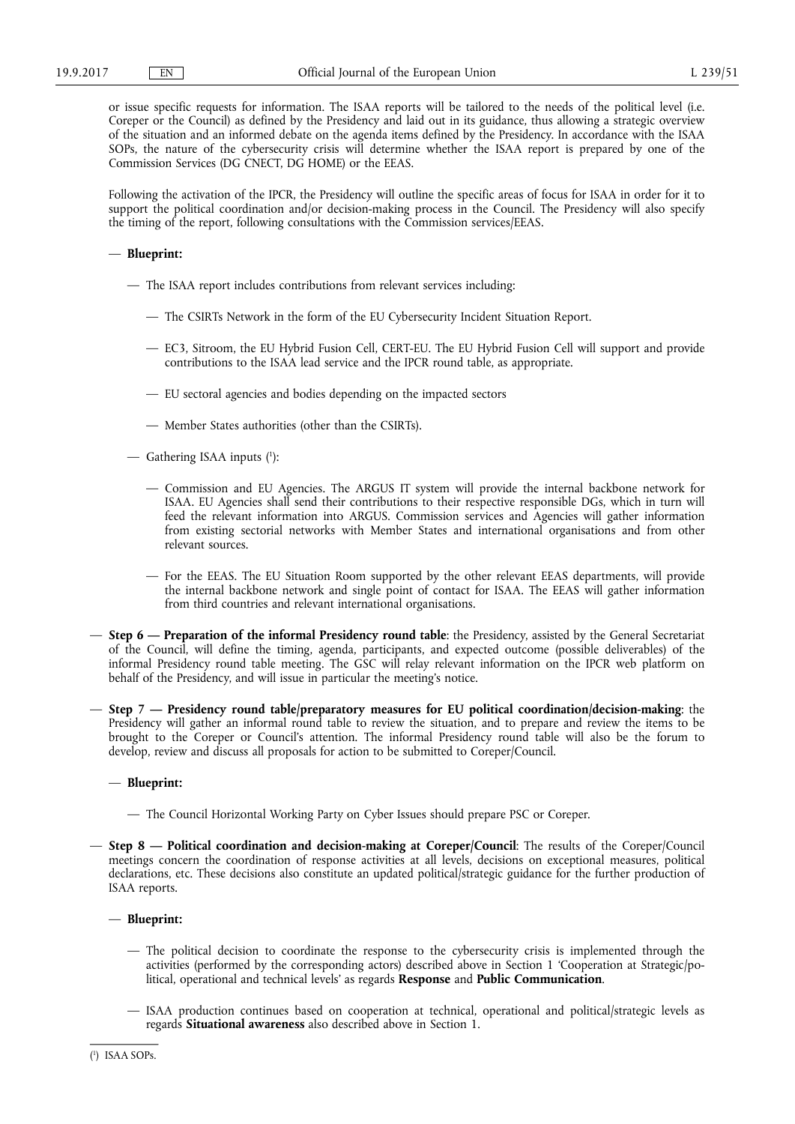or issue specific requests for information. The ISAA reports will be tailored to the needs of the political level (i.e. Coreper or the Council) as defined by the Presidency and laid out in its guidance, thus allowing a strategic overview of the situation and an informed debate on the agenda items defined by the Presidency. In accordance with the ISAA SOPs, the nature of the cybersecurity crisis will determine whether the ISAA report is prepared by one of the Commission Services (DG CNECT, DG HOME) or the EEAS.

Following the activation of the IPCR, the Presidency will outline the specific areas of focus for ISAA in order for it to support the political coordination and/or decision-making process in the Council. The Presidency will also specify the timing of the report, following consultations with the Commission services/EEAS.

# — **Blueprint:**

- The ISAA report includes contributions from relevant services including:
	- The CSIRTs Network in the form of the EU Cybersecurity Incident Situation Report.
	- EC3, Sitroom, the EU Hybrid Fusion Cell, CERT-EU. The EU Hybrid Fusion Cell will support and provide contributions to the ISAA lead service and the IPCR round table, as appropriate.
	- EU sectoral agencies and bodies depending on the impacted sectors
	- Member States authorities (other than the CSIRTs).
- Gathering ISAA inputs ( 1 ):
	- Commission and EU Agencies. The ARGUS IT system will provide the internal backbone network for ISAA. EU Agencies shall send their contributions to their respective responsible DGs, which in turn will feed the relevant information into ARGUS. Commission services and Agencies will gather information from existing sectorial networks with Member States and international organisations and from other relevant sources.
	- For the EEAS. The EU Situation Room supported by the other relevant EEAS departments, will provide the internal backbone network and single point of contact for ISAA. The EEAS will gather information from third countries and relevant international organisations.
- **Step 6 Preparation of the informal Presidency round table**: the Presidency, assisted by the General Secretariat of the Council, will define the timing, agenda, participants, and expected outcome (possible deliverables) of the informal Presidency round table meeting. The GSC will relay relevant information on the IPCR web platform on behalf of the Presidency, and will issue in particular the meeting's notice.
- **Step 7 Presidency round table/preparatory measures for EU political coordination/decision-making**: the Presidency will gather an informal round table to review the situation, and to prepare and review the items to be brought to the Coreper or Council's attention. The informal Presidency round table will also be the forum to develop, review and discuss all proposals for action to be submitted to Coreper/Council.

# — **Blueprint:**

- The Council Horizontal Working Party on Cyber Issues should prepare PSC or Coreper.
- **Step 8 Political coordination and decision-making at Coreper/Council**: The results of the Coreper/Council meetings concern the coordination of response activities at all levels, decisions on exceptional measures, political declarations, etc. These decisions also constitute an updated political/strategic guidance for the further production of ISAA reports.

# — **Blueprint:**

- The political decision to coordinate the response to the cybersecurity crisis is implemented through the activities (performed by the corresponding actors) described above in Section 1 'Cooperation at Strategic/political, operational and technical levels' as regards **Response** and **Public Communication**.
- ISAA production continues based on cooperation at technical, operational and political/strategic levels as regards **Situational awareness** also described above in Section 1.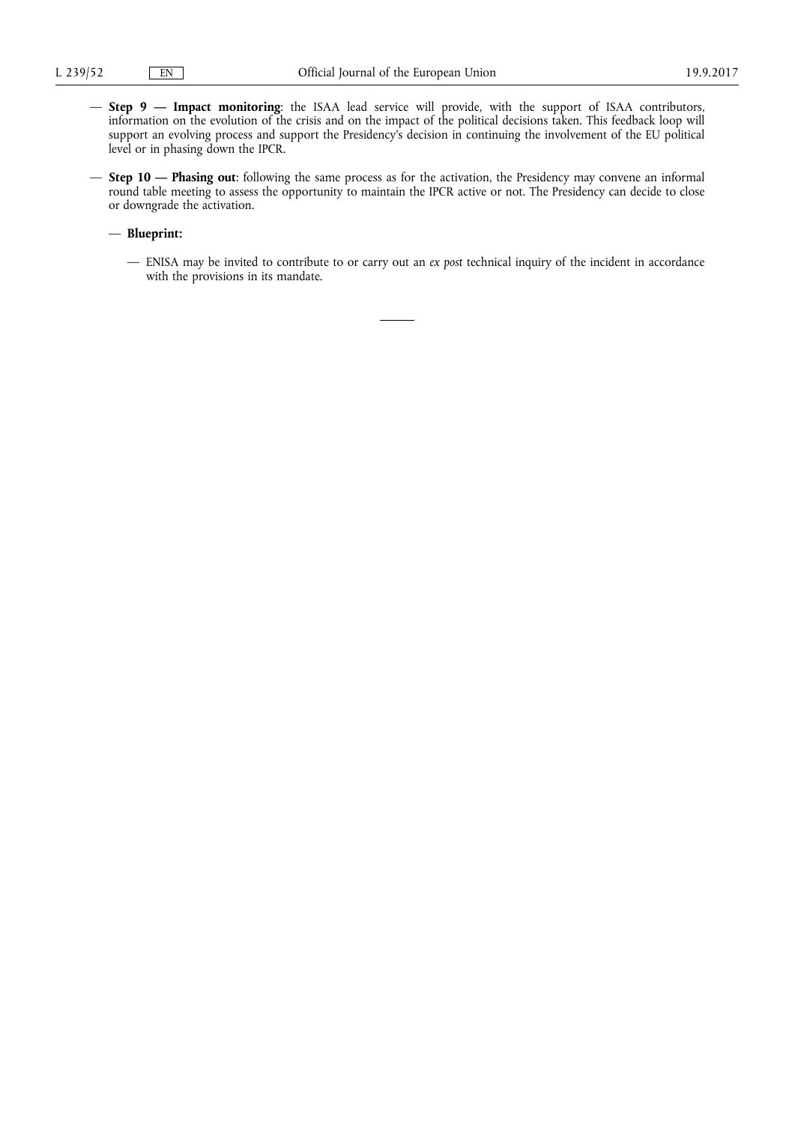- **Step 9 Impact monitoring**: the ISAA lead service will provide, with the support of ISAA contributors, information on the evolution of the crisis and on the impact of the political decisions taken. This feedback loop will support an evolving process and support the Presidency's decision in continuing the involvement of the EU political level or in phasing down the IPCR.
- **Step 10 Phasing out**: following the same process as for the activation, the Presidency may convene an informal round table meeting to assess the opportunity to maintain the IPCR active or not. The Presidency can decide to close or downgrade the activation.

# — **Blueprint:**

— ENISA may be invited to contribute to or carry out an *ex post* technical inquiry of the incident in accordance with the provisions in its mandate.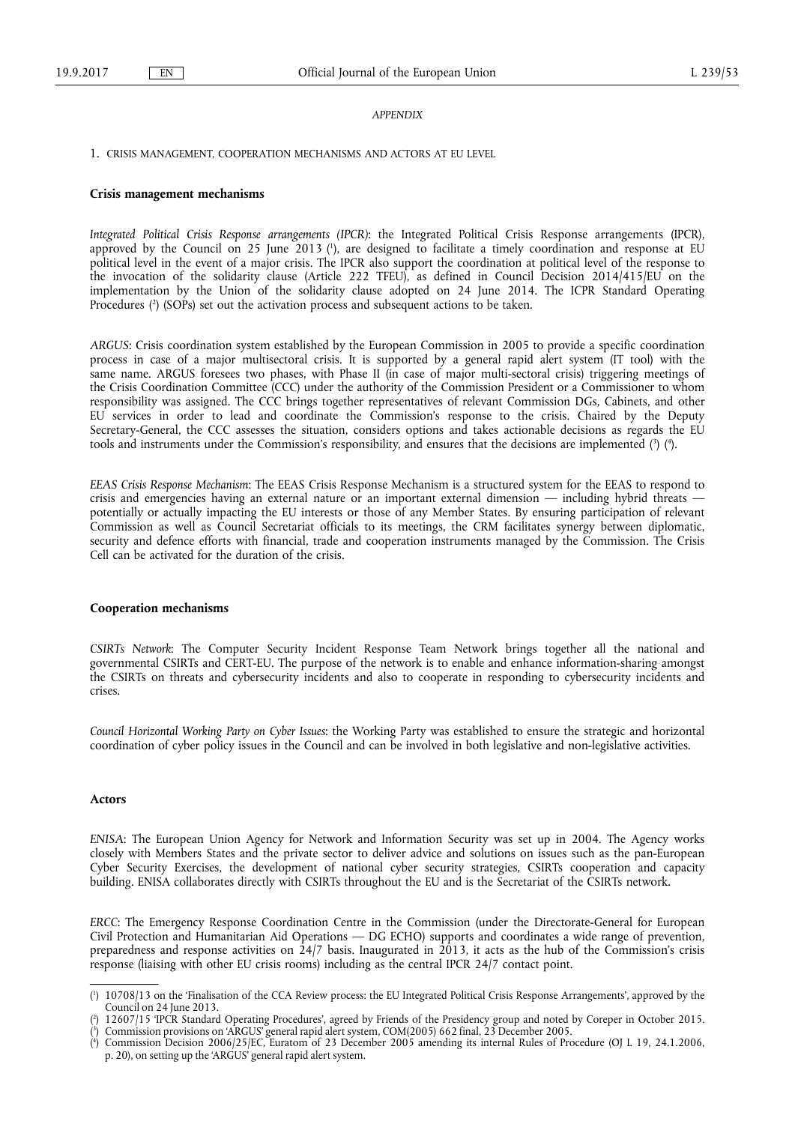#### *APPENDIX*

1. CRISIS MANAGEMENT, COOPERATION MECHANISMS AND ACTORS AT EU LEVEL

#### **Crisis management mechanisms**

*Integrated Political Crisis Response arrangements (IPCR)*: the Integrated Political Crisis Response arrangements (IPCR), approved by the Council on 25 June 2013 ( 1 ), are designed to facilitate a timely coordination and response at EU political level in the event of a major crisis. The IPCR also support the coordination at political level of the response to the invocation of the solidarity clause (Article 222 TFEU), as defined in Council Decision 2014/415/EU on the implementation by the Union of the solidarity clause adopted on 24 June 2014. The ICPR Standard Operating Procedures ( 2 ) (SOPs) set out the activation process and subsequent actions to be taken.

*ARGUS*: Crisis coordination system established by the European Commission in 2005 to provide a specific coordination process in case of a major multisectoral crisis. It is supported by a general rapid alert system (IT tool) with the same name. ARGUS foresees two phases, with Phase II (in case of major multi-sectoral crisis) triggering meetings of the Crisis Coordination Committee (CCC) under the authority of the Commission President or a Commissioner to whom responsibility was assigned. The CCC brings together representatives of relevant Commission DGs, Cabinets, and other EU services in order to lead and coordinate the Commission's response to the crisis. Chaired by the Deputy Secretary-General, the CCC assesses the situation, considers options and takes actionable decisions as regards the EU tools and instruments under the Commission's responsibility, and ensures that the decisions are implemented (3) (4).

*EEAS Crisis Response Mechanism*: The EEAS Crisis Response Mechanism is a structured system for the EEAS to respond to crisis and emergencies having an external nature or an important external dimension — including hybrid threats potentially or actually impacting the EU interests or those of any Member States. By ensuring participation of relevant Commission as well as Council Secretariat officials to its meetings, the CRM facilitates synergy between diplomatic, security and defence efforts with financial, trade and cooperation instruments managed by the Commission. The Crisis Cell can be activated for the duration of the crisis.

## **Cooperation mechanisms**

*CSIRTs Network*: The Computer Security Incident Response Team Network brings together all the national and governmental CSIRTs and CERT-EU. The purpose of the network is to enable and enhance information-sharing amongst the CSIRTs on threats and cybersecurity incidents and also to cooperate in responding to cybersecurity incidents and crises.

*Council Horizontal Working Party on Cyber Issues*: the Working Party was established to ensure the strategic and horizontal coordination of cyber policy issues in the Council and can be involved in both legislative and non-legislative activities.

## **Actors**

*ENISA*: The European Union Agency for Network and Information Security was set up in 2004. The Agency works closely with Members States and the private sector to deliver advice and solutions on issues such as the pan-European Cyber Security Exercises, the development of national cyber security strategies, CSIRTs cooperation and capacity building. ENISA collaborates directly with CSIRTs throughout the EU and is the Secretariat of the CSIRTs network.

*ERCC*: The Emergency Response Coordination Centre in the Commission (under the Directorate-General for European Civil Protection and Humanitarian Aid Operations — DG ECHO) supports and coordinates a wide range of prevention, preparedness and response activities on 24/7 basis. Inaugurated in 2013, it acts as the hub of the Commission's crisis response (liaising with other EU crisis rooms) including as the central IPCR 24/7 contact point.

<sup>(</sup> 1 ) 10708/13 on the 'Finalisation of the CCA Review process: the EU Integrated Political Crisis Response Arrangements', approved by the Council on 24 June 2013.

<sup>(</sup> 2 ) 12607/15 'IPCR Standard Operating Procedures', agreed by Friends of the Presidency group and noted by Coreper in October 2015. ( 3 ) Commission provisions on 'ARGUS' general rapid alert system, COM(2005) 662 final, 23 December 2005.

<sup>(</sup> 4 ) Commission Decision 2006/25/EC, Euratom of 23 December 2005 amending its internal Rules of Procedure (OJ L 19, 24.1.2006, p. 20), on setting up the 'ARGUS' general rapid alert system.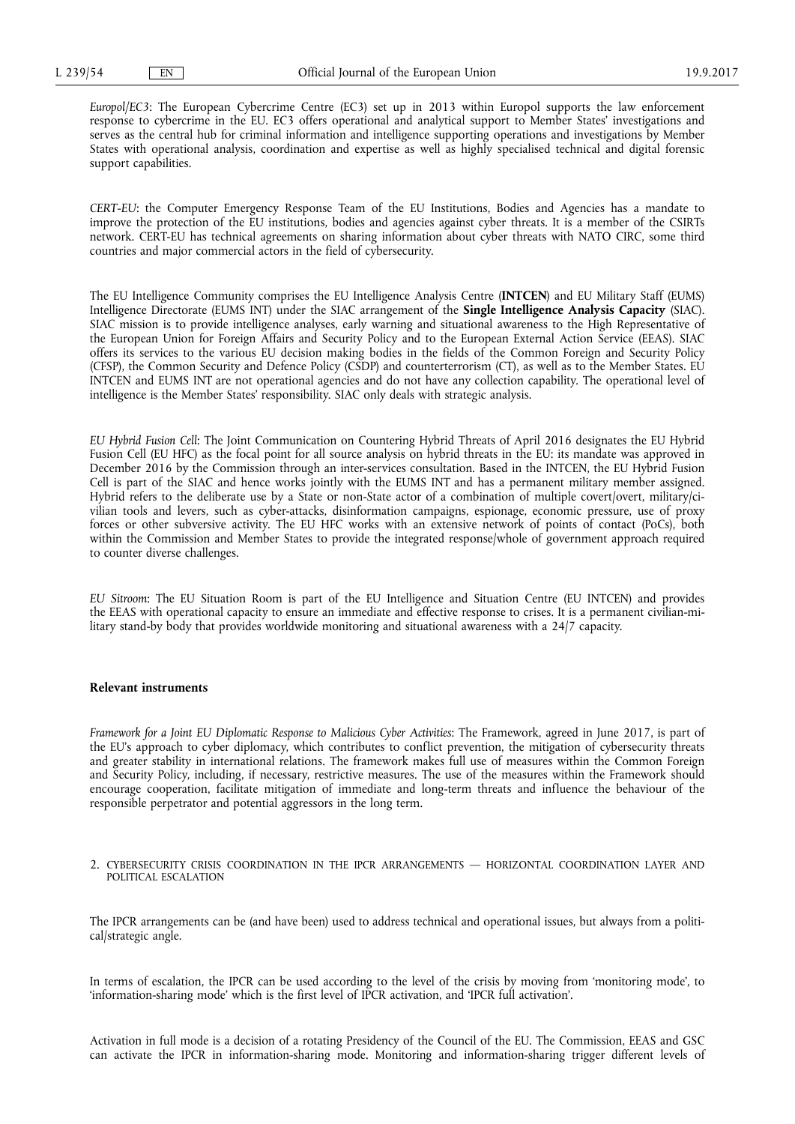*Europol/EC3*: The European Cybercrime Centre (EC3) set up in 2013 within Europol supports the law enforcement response to cybercrime in the EU. EC3 offers operational and analytical support to Member States' investigations and serves as the central hub for criminal information and intelligence supporting operations and investigations by Member States with operational analysis, coordination and expertise as well as highly specialised technical and digital forensic support capabilities.

*CERT-EU*: the Computer Emergency Response Team of the EU Institutions, Bodies and Agencies has a mandate to improve the protection of the EU institutions, bodies and agencies against cyber threats. It is a member of the CSIRTs network. CERT-EU has technical agreements on sharing information about cyber threats with NATO CIRC, some third countries and major commercial actors in the field of cybersecurity.

The EU Intelligence Community comprises the EU Intelligence Analysis Centre (**INTCEN**) and EU Military Staff (EUMS) Intelligence Directorate (EUMS INT) under the SIAC arrangement of the **Single Intelligence Analysis Capacity** (SIAC). SIAC mission is to provide intelligence analyses, early warning and situational awareness to the High Representative of the European Union for Foreign Affairs and Security Policy and to the European External Action Service (EEAS). SIAC offers its services to the various EU decision making bodies in the fields of the Common Foreign and Security Policy (CFSP), the Common Security and Defence Policy (CSDP) and counterterrorism (CT), as well as to the Member States. EU INTCEN and EUMS INT are not operational agencies and do not have any collection capability. The operational level of intelligence is the Member States' responsibility. SIAC only deals with strategic analysis.

*EU Hybrid Fusion Cell*: The Joint Communication on Countering Hybrid Threats of April 2016 designates the EU Hybrid Fusion Cell (EU HFC) as the focal point for all source analysis on hybrid threats in the EU: its mandate was approved in December 2016 by the Commission through an inter-services consultation. Based in the INTCEN, the EU Hybrid Fusion Cell is part of the SIAC and hence works jointly with the EUMS INT and has a permanent military member assigned. Hybrid refers to the deliberate use by a State or non-State actor of a combination of multiple covert/overt, military/civilian tools and levers, such as cyber-attacks, disinformation campaigns, espionage, economic pressure, use of proxy forces or other subversive activity. The EU HFC works with an extensive network of points of contact (PoCs), both within the Commission and Member States to provide the integrated response/whole of government approach required to counter diverse challenges.

*EU Sitroom*: The EU Situation Room is part of the EU Intelligence and Situation Centre (EU INTCEN) and provides the EEAS with operational capacity to ensure an immediate and effective response to crises. It is a permanent civilian-military stand-by body that provides worldwide monitoring and situational awareness with a 24/7 capacity.

#### **Relevant instruments**

*Framework for a Joint EU Diplomatic Response to Malicious Cyber Activities*: The Framework, agreed in June 2017, is part of the EU's approach to cyber diplomacy, which contributes to conflict prevention, the mitigation of cybersecurity threats and greater stability in international relations. The framework makes full use of measures within the Common Foreign and Security Policy, including, if necessary, restrictive measures. The use of the measures within the Framework should encourage cooperation, facilitate mitigation of immediate and long-term threats and influence the behaviour of the responsible perpetrator and potential aggressors in the long term.

2. CYBERSECURITY CRISIS COORDINATION IN THE IPCR ARRANGEMENTS — HORIZONTAL COORDINATION LAYER AND POLITICAL ESCALATION

The IPCR arrangements can be (and have been) used to address technical and operational issues, but always from a political/strategic angle.

In terms of escalation, the IPCR can be used according to the level of the crisis by moving from 'monitoring mode', to 'information-sharing mode' which is the first level of IPCR activation, and 'IPCR full activation'.

Activation in full mode is a decision of a rotating Presidency of the Council of the EU. The Commission, EEAS and GSC can activate the IPCR in information-sharing mode. Monitoring and information-sharing trigger different levels of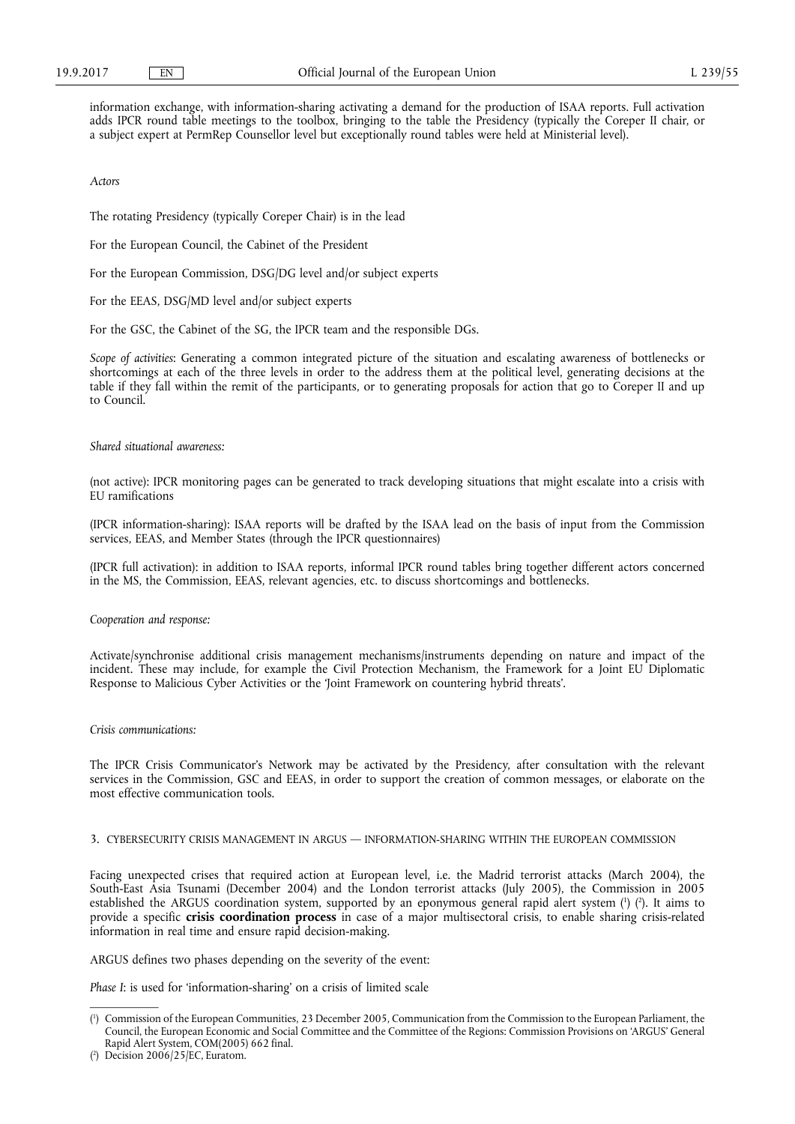information exchange, with information-sharing activating a demand for the production of ISAA reports. Full activation adds IPCR round table meetings to the toolbox, bringing to the table the Presidency (typically the Coreper II chair, or a subject expert at PermRep Counsellor level but exceptionally round tables were held at Ministerial level).

*Actors* 

The rotating Presidency (typically Coreper Chair) is in the lead

For the European Council, the Cabinet of the President

For the European Commission, DSG/DG level and/or subject experts

For the EEAS, DSG/MD level and/or subject experts

For the GSC, the Cabinet of the SG, the IPCR team and the responsible DGs.

*Scope of activities*: Generating a common integrated picture of the situation and escalating awareness of bottlenecks or shortcomings at each of the three levels in order to the address them at the political level, generating decisions at the table if they fall within the remit of the participants, or to generating proposals for action that go to Coreper II and up to Council.

## *Shared situational awareness:*

(not active): IPCR monitoring pages can be generated to track developing situations that might escalate into a crisis with EU ramifications

(IPCR information-sharing): ISAA reports will be drafted by the ISAA lead on the basis of input from the Commission services, EEAS, and Member States (through the IPCR questionnaires)

(IPCR full activation): in addition to ISAA reports, informal IPCR round tables bring together different actors concerned in the MS, the Commission, EEAS, relevant agencies, etc. to discuss shortcomings and bottlenecks.

*Cooperation and response:* 

Activate/synchronise additional crisis management mechanisms/instruments depending on nature and impact of the incident. These may include, for example the Civil Protection Mechanism, the Framework for a Joint EU Diplomatic Response to Malicious Cyber Activities or the 'Joint Framework on countering hybrid threats'.

#### *Crisis communications:*

The IPCR Crisis Communicator's Network may be activated by the Presidency, after consultation with the relevant services in the Commission, GSC and EEAS, in order to support the creation of common messages, or elaborate on the most effective communication tools.

# 3. CYBERSECURITY CRISIS MANAGEMENT IN ARGUS — INFORMATION-SHARING WITHIN THE EUROPEAN COMMISSION

Facing unexpected crises that required action at European level, i.e. the Madrid terrorist attacks (March 2004), the South-East Asia Tsunami (December 2004) and the London terrorist attacks (July 2005), the Commission in 2005 established the ARGUS coordination system, supported by an eponymous general rapid alert system (1) (2). It aims to provide a specific **crisis coordination process** in case of a major multisectoral crisis, to enable sharing crisis-related information in real time and ensure rapid decision-making.

ARGUS defines two phases depending on the severity of the event:

*Phase I*: is used for 'information-sharing' on a crisis of limited scale

<sup>(</sup> 1 ) Commission of the European Communities, 23 December 2005, Communication from the Commission to the European Parliament, the Council, the European Economic and Social Committee and the Committee of the Regions: Commission Provisions on 'ARGUS' General Rapid Alert System, COM(2005) 662 final.

<sup>(</sup> 2 ) Decision 2006/25/EC, Euratom.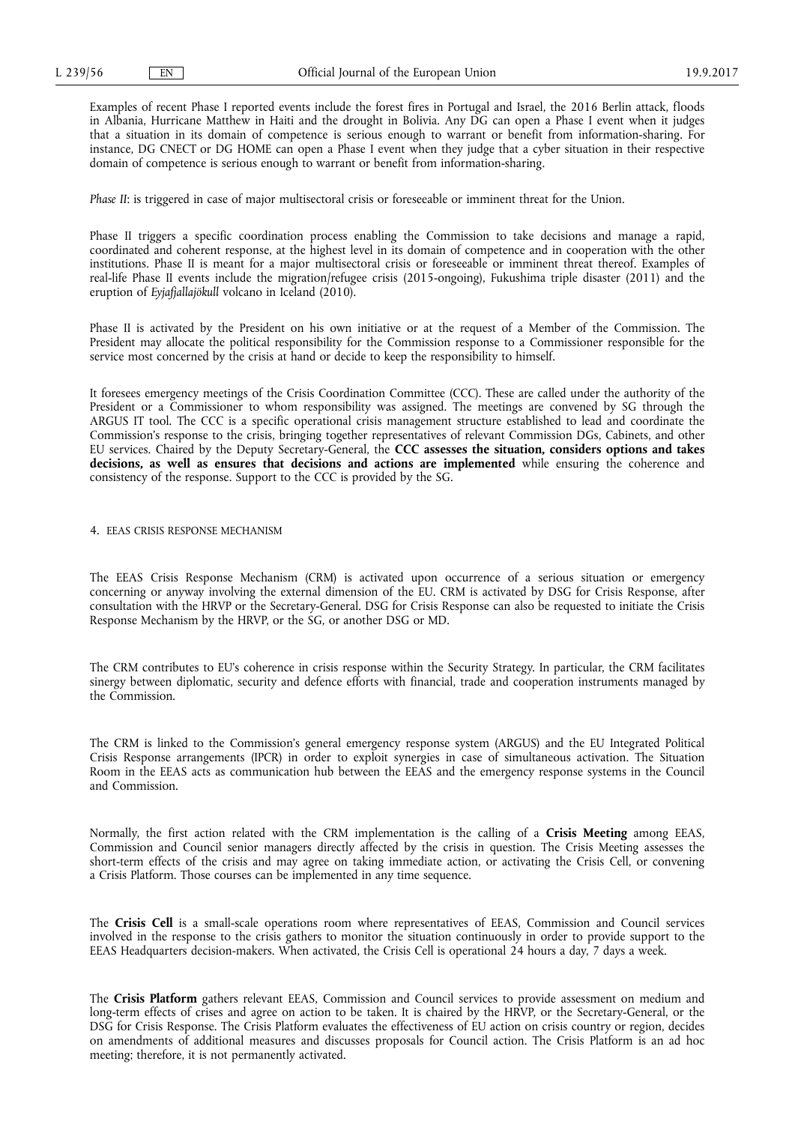Examples of recent Phase I reported events include the forest fires in Portugal and Israel, the 2016 Berlin attack, floods in Albania, Hurricane Matthew in Haiti and the drought in Bolivia. Any DG can open a Phase I event when it judges that a situation in its domain of competence is serious enough to warrant or benefit from information-sharing. For instance, DG CNECT or DG HOME can open a Phase I event when they judge that a cyber situation in their respective domain of competence is serious enough to warrant or benefit from information-sharing.

*Phase II*: is triggered in case of major multisectoral crisis or foreseeable or imminent threat for the Union.

Phase II triggers a specific coordination process enabling the Commission to take decisions and manage a rapid, coordinated and coherent response, at the highest level in its domain of competence and in cooperation with the other institutions. Phase II is meant for a major multisectoral crisis or foreseeable or imminent threat thereof. Examples of real-life Phase II events include the migration/refugee crisis (2015-ongoing), Fukushima triple disaster (2011) and the eruption of *Eyjafjallajökull* volcano in Iceland (2010).

Phase II is activated by the President on his own initiative or at the request of a Member of the Commission. The President may allocate the political responsibility for the Commission response to a Commissioner responsible for the service most concerned by the crisis at hand or decide to keep the responsibility to himself.

It foresees emergency meetings of the Crisis Coordination Committee (CCC). These are called under the authority of the President or a Commissioner to whom responsibility was assigned. The meetings are convened by SG through the ARGUS IT tool. The CCC is a specific operational crisis management structure established to lead and coordinate the Commission's response to the crisis, bringing together representatives of relevant Commission DGs, Cabinets, and other EU services. Chaired by the Deputy Secretary-General, the **CCC assesses the situation, considers options and takes decisions, as well as ensures that decisions and actions are implemented** while ensuring the coherence and consistency of the response. Support to the CCC is provided by the SG.

#### 4. EEAS CRISIS RESPONSE MECHANISM

The EEAS Crisis Response Mechanism (CRM) is activated upon occurrence of a serious situation or emergency concerning or anyway involving the external dimension of the EU. CRM is activated by DSG for Crisis Response, after consultation with the HRVP or the Secretary-General. DSG for Crisis Response can also be requested to initiate the Crisis Response Mechanism by the HRVP, or the SG, or another DSG or MD.

The CRM contributes to EU's coherence in crisis response within the Security Strategy. In particular, the CRM facilitates sinergy between diplomatic, security and defence efforts with financial, trade and cooperation instruments managed by the Commission.

The CRM is linked to the Commission's general emergency response system (ARGUS) and the EU Integrated Political Crisis Response arrangements (IPCR) in order to exploit synergies in case of simultaneous activation. The Situation Room in the EEAS acts as communication hub between the EEAS and the emergency response systems in the Council and Commission.

Normally, the first action related with the CRM implementation is the calling of a **Crisis Meeting** among EEAS, Commission and Council senior managers directly affected by the crisis in question. The Crisis Meeting assesses the short-term effects of the crisis and may agree on taking immediate action, or activating the Crisis Cell, or convening a Crisis Platform. Those courses can be implemented in any time sequence.

The **Crisis Cell** is a small-scale operations room where representatives of EEAS, Commission and Council services involved in the response to the crisis gathers to monitor the situation continuously in order to provide support to the EEAS Headquarters decision-makers. When activated, the Crisis Cell is operational 24 hours a day, 7 days a week.

The **Crisis Platform** gathers relevant EEAS, Commission and Council services to provide assessment on medium and long-term effects of crises and agree on action to be taken. It is chaired by the HRVP, or the Secretary-General, or the DSG for Crisis Response. The Crisis Platform evaluates the effectiveness of EU action on crisis country or region, decides on amendments of additional measures and discusses proposals for Council action. The Crisis Platform is an ad hoc meeting; therefore, it is not permanently activated.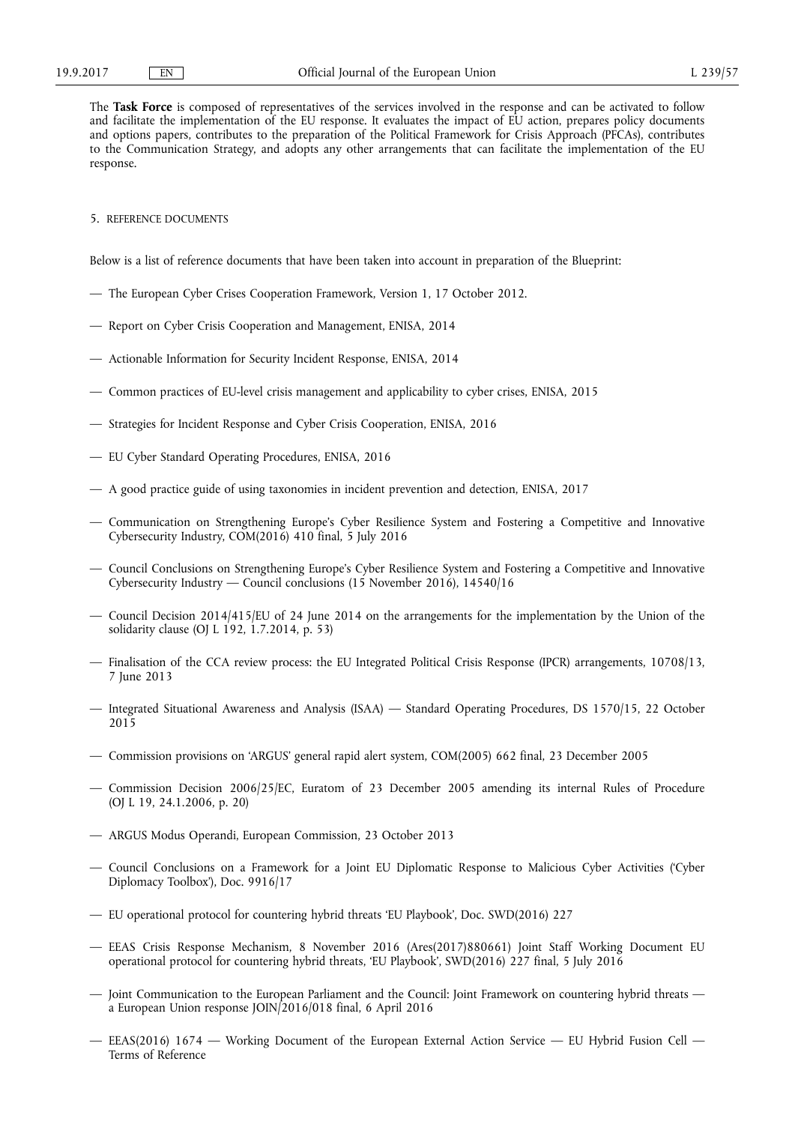The **Task Force** is composed of representatives of the services involved in the response and can be activated to follow and facilitate the implementation of the EU response. It evaluates the impact of EU action, prepares policy documents and options papers, contributes to the preparation of the Political Framework for Crisis Approach (PFCAs), contributes to the Communication Strategy, and adopts any other arrangements that can facilitate the implementation of the EU response.

#### 5. REFERENCE DOCUMENTS

Below is a list of reference documents that have been taken into account in preparation of the Blueprint:

- The European Cyber Crises Cooperation Framework, Version 1, 17 October 2012.
- Report on Cyber Crisis Cooperation and Management, ENISA, 2014
- Actionable Information for Security Incident Response, ENISA, 2014
- Common practices of EU-level crisis management and applicability to cyber crises, ENISA, 2015
- Strategies for Incident Response and Cyber Crisis Cooperation, ENISA, 2016
- EU Cyber Standard Operating Procedures, ENISA, 2016
- A good practice guide of using taxonomies in incident prevention and detection, ENISA, 2017
- Communication on Strengthening Europe's Cyber Resilience System and Fostering a Competitive and Innovative Cybersecurity Industry, COM(2016) 410 final, 5 July 2016
- Council Conclusions on Strengthening Europe's Cyber Resilience System and Fostering a Competitive and Innovative Cybersecurity Industry — Council conclusions (15 November 2016), 14540/16
- Council Decision 2014/415/EU of 24 June 2014 on the arrangements for the implementation by the Union of the solidarity clause (OJ L 192, 1.7.2014, p. 53)
- Finalisation of the CCA review process: the EU Integrated Political Crisis Response (IPCR) arrangements, 10708/13, 7 June 2013
- Integrated Situational Awareness and Analysis (ISAA) Standard Operating Procedures, DS 1570/15, 22 October 2015
- Commission provisions on 'ARGUS' general rapid alert system, COM(2005) 662 final, 23 December 2005
- Commission Decision 2006/25/EC, Euratom of 23 December 2005 amending its internal Rules of Procedure (OJ L 19, 24.1.2006, p. 20)
- ARGUS Modus Operandi, European Commission, 23 October 2013
- Council Conclusions on a Framework for a Joint EU Diplomatic Response to Malicious Cyber Activities ('Cyber Diplomacy Toolbox'), Doc. 9916/17
- EU operational protocol for countering hybrid threats 'EU Playbook', Doc. SWD(2016) 227
- EEAS Crisis Response Mechanism, 8 November 2016 (Ares(2017)880661) Joint Staff Working Document EU operational protocol for countering hybrid threats, 'EU Playbook', SWD(2016) 227 final, 5 July 2016
- Joint Communication to the European Parliament and the Council: Joint Framework on countering hybrid threats a European Union response JOIN/2016/018 final, 6 April 2016
- EEAS(2016) 1674 Working Document of the European External Action Service EU Hybrid Fusion Cell Terms of Reference